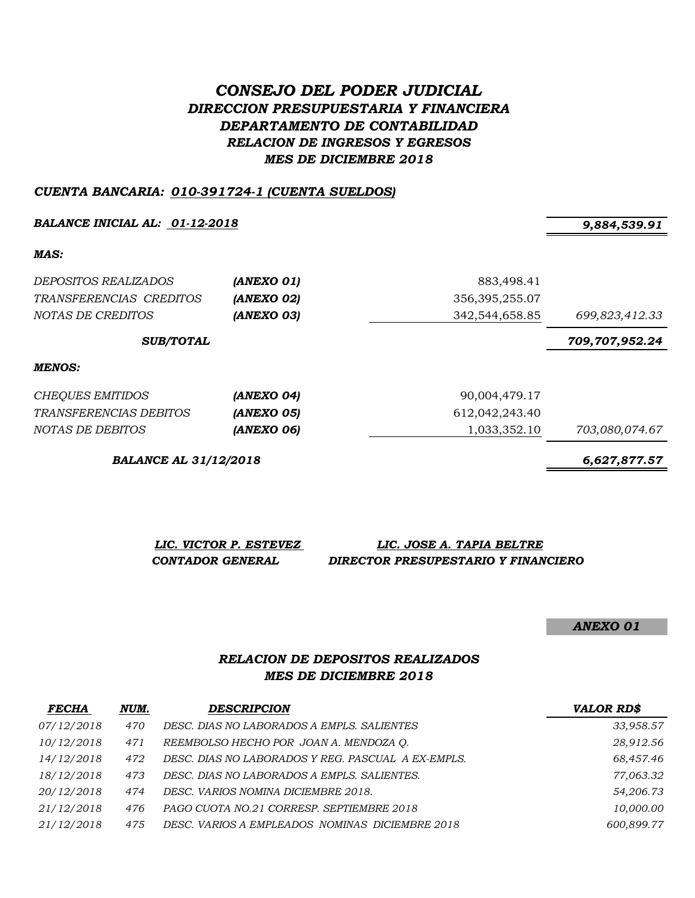# *CONSEJO DEL PODER JUDICIAL DIRECCION PRESUPUESTARIA Y FINANCIERA DEPARTAMENTO DE CONTABILIDAD RELACION DE INGRESOS Y EGRESOS MES DE DICIEMBRE 2018*

#### *CUENTA BANCARIA: 010-391724-1 (CUENTA SUELDOS)*

**BALANCE INICIAL AL:** 01-12-2018 9,884,539.91

*MAS:*

| <i>DEPOSITOS REALIZADOS</i><br>TRANSFERENCIAS CREDITOS<br>NOTAS DE CREDITOS | (ANEXO 01)<br>(ANEXO 02)<br>(ANEXO 03) | 883,498.41<br>356, 395, 255.07<br>342,544,658.85 | 699,823,412.33 |
|-----------------------------------------------------------------------------|----------------------------------------|--------------------------------------------------|----------------|
| <b>SUB/TOTAL</b>                                                            |                                        |                                                  | 709,707,952.24 |
| MENOS:                                                                      |                                        |                                                  |                |
| CHEQUES EMITIDOS                                                            | (ANEXO 04)                             | 90,004,479.17                                    |                |
| <i>TRANSFERENCIAS DEBITOS</i>                                               | (ANEXO 05)                             | 612,042,243.40                                   |                |
| NOTAS DE DEBITOS                                                            | (ANEXO 06)                             | 1,033,352.10                                     | 703,080,074.67 |

*BALANCE AL 31/12/2018 6,627,877.57*

*LIC. VICTOR P. ESTEVEZ LIC. JOSE A. TAPIA BELTRE CONTADOR GENERAL DIRECTOR PRESUPESTARIO Y FINANCIERO*

*ANEXO 01*

### *RELACION DE DEPOSITOS REALIZADOS MES DE DICIEMBRE 2018*

| <b>FECHA</b> | NUM. | <b>DESCRIPCION</b>                                 | <b>VALOR RD\$</b> |
|--------------|------|----------------------------------------------------|-------------------|
| 07/12/2018   | 470  | DESC. DIAS NO LABORADOS A EMPLS. SALIENTES         | 33,958.57         |
| 10/12/2018   | 471  | REEMBOLSO HECHO POR JOAN A. MENDOZA O.             | 28,912.56         |
| 14/12/2018   | 472  | DESC. DIAS NO LABORADOS Y REG. PASCUAL A EX-EMPLS. | 68,457.46         |
| 18/12/2018   | 473  | DESC. DIAS NO LABORADOS A EMPLS. SALIENTES.        | 77,063.32         |
| 20/12/2018   | 474  | DESC. VARIOS NOMINA DICIEMBRE 2018.                | 54,206.73         |
| 21/12/2018   | 476  | PAGO CUOTA NO.21 CORRESP. SEPTIEMBRE 2018          | 10,000.00         |
| 21/12/2018   | 475  | DESC. VARIOS A EMPLEADOS NOMINAS DICIEMBRE 2018    | 600,899.77        |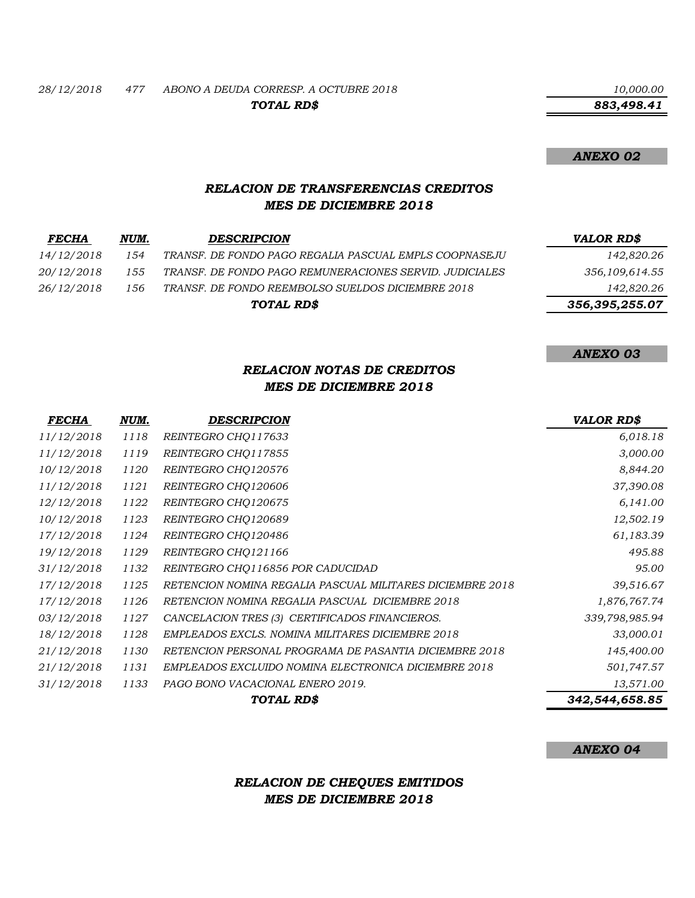*28/12/2018 477 ABONO A DEUDA CORRESP. A OCTUBRE 2018 10,000.00 TOTAL RD\$*

 *883,498.41*

#### *ANEXO 02*

### *RELACION DE TRANSFERENCIAS CREDITOS MES DE DICIEMBRE 2018*

| NUM. | <b>DESCRIPCION</b>                                      | VALOR RD\$     |
|------|---------------------------------------------------------|----------------|
| 154  | TRANSF. DE FONDO PAGO REGALIA PASCUAL EMPLS COOPNASEJU  | 142,820.26     |
| 155  | TRANSF. DE FONDO PAGO REMUNERACIONES SERVID. JUDICIALES | 356,109,614.55 |
| 156  | TRANSF. DE FONDO REEMBOLSO SUELDOS DICIEMBRE 2018       | 142,820.26     |
|      | TOTAL RD\$                                              | 356,395,255.07 |
|      |                                                         |                |

*ANEXO 03*

### *RELACION NOTAS DE CREDITOS MES DE DICIEMBRE 2018*

| <b>FECHA</b> | NUM. | <b>DESCRIPCION</b>                                        | <b>VALOR RD\$</b> |
|--------------|------|-----------------------------------------------------------|-------------------|
| 11/12/2018   | 1118 | REINTEGRO CHQ117633                                       | 6,018.18          |
| 11/12/2018   | 1119 | REINTEGRO CHO117855                                       | 3,000.00          |
| 10/12/2018   | 1120 | REINTEGRO CHQ120576                                       | 8,844.20          |
| 11/12/2018   | 1121 | REINTEGRO CHO120606                                       | 37,390.08         |
| 12/12/2018   | 1122 | REINTEGRO CHO120675                                       | 6,141.00          |
| 10/12/2018   | 1123 | REINTEGRO CHO120689                                       | 12,502.19         |
| 17/12/2018   | 1124 | REINTEGRO CHO120486                                       | 61,183.39         |
| 19/12/2018   | 1129 | REINTEGRO CHO121166                                       | 495.88            |
| 31/12/2018   | 1132 | REINTEGRO CHQ116856 POR CADUCIDAD                         | 95.00             |
| 17/12/2018   | 1125 | RETENCION NOMINA REGALIA PASCUAL MILITARES DICIEMBRE 2018 | 39,516.67         |
| 17/12/2018   | 1126 | <b>RETENCION NOMINA REGALIA PASCUAL DICIEMBRE 2018</b>    | 1,876,767.74      |
| 03/12/2018   | 1127 | CANCELACION TRES (3) CERTIFICADOS FINANCIEROS.            | 339,798,985.94    |
| 18/12/2018   | 1128 | EMPLEADOS EXCLS. NOMINA MILITARES DICIEMBRE 2018          | 33,000.01         |
| 21/12/2018   | 1130 | RETENCION PERSONAL PROGRAMA DE PASANTIA DICIEMBRE 2018    | 145,400.00        |
| 21/12/2018   | 1131 | EMPLEADOS EXCLUIDO NOMINA ELECTRONICA DICIEMBRE 2018      | 501,747.57        |
| 31/12/2018   | 1133 | PAGO BONO VACACIONAL ENERO 2019.                          | 13,571.00         |
|              |      | TOTAL RD\$                                                | 342,544,658.85    |

*ANEXO 04*

## *RELACION DE CHEQUES EMITIDOS MES DE DICIEMBRE 2018*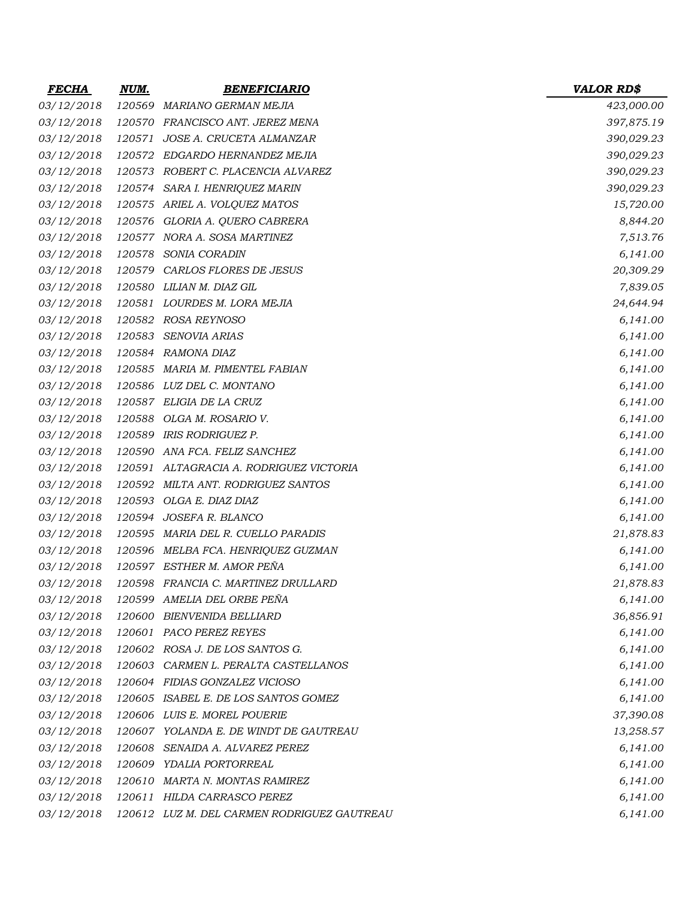| <b>FECHA</b> | NUM.   | <b>BENEFICIARIO</b>                         | <b>VALOR RD\$</b> |
|--------------|--------|---------------------------------------------|-------------------|
| 03/12/2018   |        | 120569 MARIANO GERMAN MEJIA                 | 423,000.00        |
| 03/12/2018   | 120570 | FRANCISCO ANT. JEREZ MENA                   | 397,875.19        |
| 03/12/2018   | 120571 | JOSE A. CRUCETA ALMANZAR                    | 390,029.23        |
| 03/12/2018   |        | 120572 EDGARDO HERNANDEZ MEJIA              | 390,029.23        |
| 03/12/2018   | 120573 | ROBERT C. PLACENCIA ALVAREZ                 | 390,029.23        |
| 03/12/2018   | 120574 | SARA I. HENRIQUEZ MARIN                     | 390,029.23        |
| 03/12/2018   |        | 120575 ARIEL A. VOLQUEZ MATOS               | 15,720.00         |
| 03/12/2018   |        | 120576 GLORIA A. QUERO CABRERA              | 8,844.20          |
| 03/12/2018   |        | 120577 NORA A. SOSA MARTINEZ                | 7,513.76          |
| 03/12/2018   | 120578 | SONIA CORADIN                               | 6,141.00          |
| 03/12/2018   | 120579 | CARLOS FLORES DE JESUS                      | 20,309.29         |
| 03/12/2018   |        | 120580 LILIAN M. DIAZ GIL                   | 7,839.05          |
| 03/12/2018   |        | 120581 LOURDES M. LORA MEJIA                | 24,644.94         |
| 03/12/2018   |        | 120582 ROSA REYNOSO                         | 6,141.00          |
| 03/12/2018   | 120583 | SENOVIA ARIAS                               | 6,141.00          |
| 03/12/2018   |        | 120584 RAMONA DIAZ                          | 6,141.00          |
| 03/12/2018   |        | 120585 MARIA M. PIMENTEL FABIAN             | 6,141.00          |
| 03/12/2018   |        | 120586 LUZ DEL C. MONTANO                   | 6,141.00          |
| 03/12/2018   |        | 120587 ELIGIA DE LA CRUZ                    | 6,141.00          |
| 03/12/2018   | 120588 | OLGA M. ROSARIO V.                          | 6,141.00          |
| 03/12/2018   |        | 120589 IRIS RODRIGUEZ P.                    | 6,141.00          |
| 03/12/2018   |        | 120590 ANA FCA. FELIZ SANCHEZ               | 6,141.00          |
| 03/12/2018   |        | 120591 ALTAGRACIA A. RODRIGUEZ VICTORIA     | 6,141.00          |
| 03/12/2018   |        | 120592 MILTA ANT. RODRIGUEZ SANTOS          | 6,141.00          |
| 03/12/2018   |        | 120593 OLGA E. DIAZ DIAZ                    | 6,141.00          |
| 03/12/2018   | 120594 | JOSEFA R. BLANCO                            | 6,141.00          |
| 03/12/2018   |        | 120595 MARIA DEL R. CUELLO PARADIS          | 21,878.83         |
| 03/12/2018   |        | 120596 MELBA FCA. HENRIQUEZ GUZMAN          | 6,141.00          |
| 03/12/2018   |        | 120597 ESTHER M. AMOR PEÑA                  | 6,141.00          |
| 03/12/2018   |        | 120598 FRANCIA C. MARTINEZ DRULLARD         | 21,878.83         |
| 03/12/2018   |        | 120599 AMELIA DEL ORBE PEÑA                 | 6,141.00          |
| 03/12/2018   |        | 120600 BIENVENIDA BELLIARD                  | 36,856.91         |
| 03/12/2018   |        | 120601 PACO PEREZ REYES                     | 6,141.00          |
| 03/12/2018   |        | 120602 ROSA J. DE LOS SANTOS G.             | 6,141.00          |
| 03/12/2018   | 120603 | CARMEN L. PERALTA CASTELLANOS               | 6,141.00          |
| 03/12/2018   |        | 120604 FIDIAS GONZALEZ VICIOSO              | 6,141.00          |
| 03/12/2018   |        | 120605 ISABEL E. DE LOS SANTOS GOMEZ        | 6,141.00          |
| 03/12/2018   |        | 120606 LUIS E. MOREL POUERIE                | 37,390.08         |
| 03/12/2018   |        | 120607 YOLANDA E. DE WINDT DE GAUTREAU      | 13,258.57         |
| 03/12/2018   | 120608 | SENAIDA A. ALVAREZ PEREZ                    | 6,141.00          |
| 03/12/2018   |        | 120609 YDALIA PORTORREAL                    | 6,141.00          |
| 03/12/2018   |        | 120610 MARTA N. MONTAS RAMIREZ              | 6,141.00          |
| 03/12/2018   |        | 120611 HILDA CARRASCO PEREZ                 | 6,141.00          |
| 03/12/2018   |        | 120612 LUZ M. DEL CARMEN RODRIGUEZ GAUTREAU | 6,141.00          |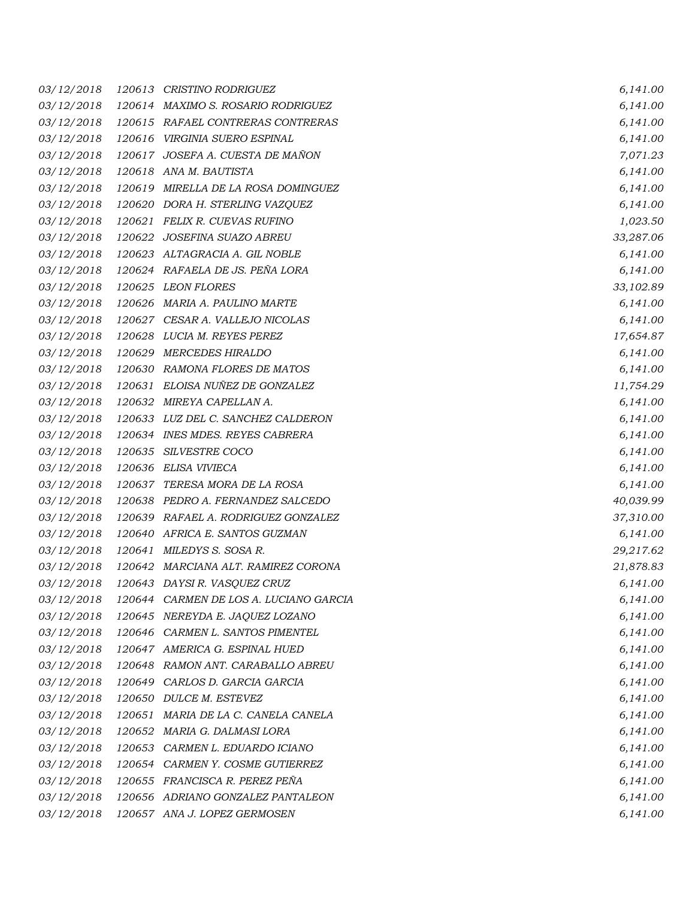| 03/12/2018 |        | 120613 CRISTINO RODRIGUEZ              | 6,141.00  |
|------------|--------|----------------------------------------|-----------|
| 03/12/2018 |        | 120614 MAXIMO S. ROSARIO RODRIGUEZ     | 6,141.00  |
| 03/12/2018 |        | 120615 RAFAEL CONTRERAS CONTRERAS      | 6,141.00  |
| 03/12/2018 |        | 120616 VIRGINIA SUERO ESPINAL          | 6,141.00  |
| 03/12/2018 |        | 120617 JOSEFA A. CUESTA DE MAÑON       | 7,071.23  |
| 03/12/2018 |        | 120618 ANA M. BAUTISTA                 | 6,141.00  |
| 03/12/2018 | 120619 | MIRELLA DE LA ROSA DOMINGUEZ           | 6,141.00  |
| 03/12/2018 |        | 120620 DORA H. STERLING VAZQUEZ        | 6,141.00  |
| 03/12/2018 |        | 120621 FELIX R. CUEVAS RUFINO          | 1,023.50  |
| 03/12/2018 |        | 120622 JOSEFINA SUAZO ABREU            | 33,287.06 |
| 03/12/2018 |        | 120623 ALTAGRACIA A. GIL NOBLE         | 6,141.00  |
| 03/12/2018 |        | 120624 RAFAELA DE JS. PEÑA LORA        | 6,141.00  |
| 03/12/2018 |        | 120625 LEON FLORES                     | 33,102.89 |
| 03/12/2018 |        | 120626 MARIA A. PAULINO MARTE          | 6,141.00  |
| 03/12/2018 |        | 120627 CESAR A. VALLEJO NICOLAS        | 6,141.00  |
| 03/12/2018 |        | 120628 LUCIA M. REYES PEREZ            | 17,654.87 |
| 03/12/2018 |        | 120629 MERCEDES HIRALDO                | 6,141.00  |
| 03/12/2018 |        | 120630 RAMONA FLORES DE MATOS          | 6,141.00  |
| 03/12/2018 |        | 120631 ELOISA NUÑEZ DE GONZALEZ        | 11,754.29 |
| 03/12/2018 |        | 120632 MIREYA CAPELLAN A.              | 6,141.00  |
| 03/12/2018 |        | 120633 LUZ DEL C. SANCHEZ CALDERON     | 6,141.00  |
| 03/12/2018 |        | 120634 INES MDES. REYES CABRERA        | 6,141.00  |
| 03/12/2018 |        | 120635 SILVESTRE COCO                  | 6,141.00  |
| 03/12/2018 |        | 120636 ELISA VIVIECA                   | 6,141.00  |
| 03/12/2018 |        | 120637 TERESA MORA DE LA ROSA          | 6,141.00  |
| 03/12/2018 |        | 120638 PEDRO A. FERNANDEZ SALCEDO      | 40,039.99 |
| 03/12/2018 |        | 120639 RAFAEL A. RODRIGUEZ GONZALEZ    | 37,310.00 |
| 03/12/2018 |        | 120640 AFRICA E. SANTOS GUZMAN         | 6,141.00  |
| 03/12/2018 |        | 120641 MILEDYS S. SOSA R.              | 29,217.62 |
| 03/12/2018 |        | 120642 MARCIANA ALT. RAMIREZ CORONA    | 21,878.83 |
| 03/12/2018 |        | 120643 DAYSIR. VASQUEZ CRUZ            | 6,141.00  |
| 03/12/2018 |        | 120644 CARMEN DE LOS A. LUCIANO GARCIA | 6,141.00  |
| 03/12/2018 |        | 120645 NEREYDA E. JAQUEZ LOZANO        | 6,141.00  |
| 03/12/2018 |        | 120646 CARMEN L. SANTOS PIMENTEL       | 6,141.00  |
| 03/12/2018 |        | 120647 AMERICA G. ESPINAL HUED         | 6,141.00  |
| 03/12/2018 |        | 120648 RAMON ANT. CARABALLO ABREU      | 6,141.00  |
| 03/12/2018 | 120649 | CARLOS D. GARCIA GARCIA                | 6,141.00  |
| 03/12/2018 | 120650 | DULCE M. ESTEVEZ                       | 6,141.00  |
| 03/12/2018 | 120651 | MARIA DE LA C. CANELA CANELA           | 6,141.00  |
| 03/12/2018 | 120652 | MARIA G. DALMASI LORA                  | 6,141.00  |
| 03/12/2018 | 120653 | CARMEN L. EDUARDO ICIANO               | 6,141.00  |
| 03/12/2018 | 120654 | CARMEN Y. COSME GUTIERREZ              | 6,141.00  |
| 03/12/2018 |        | 120655 FRANCISCA R. PEREZ PEÑA         | 6,141.00  |
| 03/12/2018 |        | 120656 ADRIANO GONZALEZ PANTALEON      | 6,141.00  |
| 03/12/2018 |        | 120657 ANA J. LOPEZ GERMOSEN           | 6,141.00  |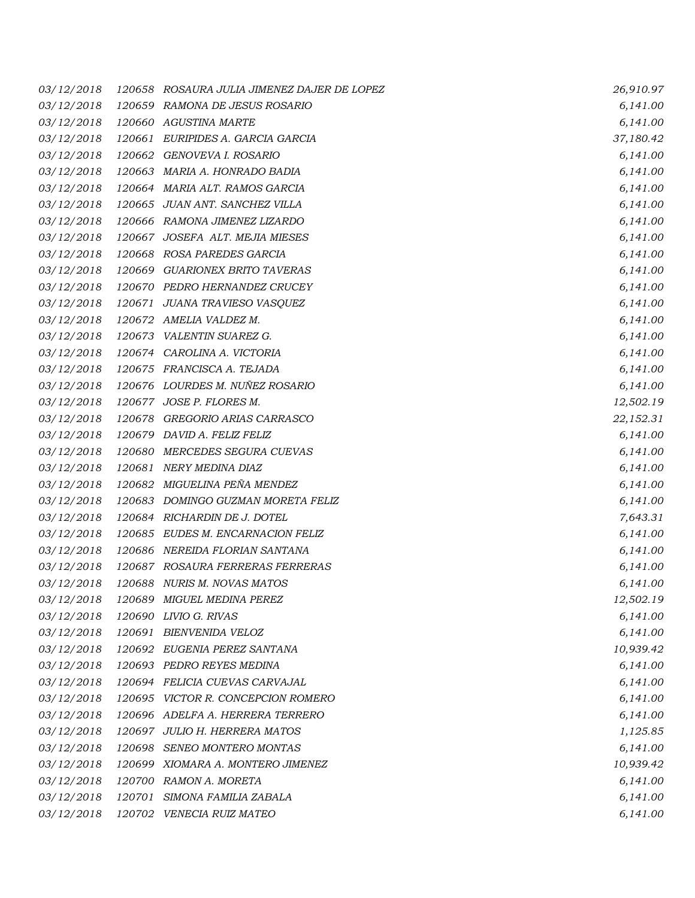| 03/12/2018 |        | 120658 ROSAURA JULIA JIMENEZ DAJER DE LOPEZ | 26,910.97 |
|------------|--------|---------------------------------------------|-----------|
| 03/12/2018 | 120659 | RAMONA DE JESUS ROSARIO                     | 6,141.00  |
| 03/12/2018 | 120660 | <b>AGUSTINA MARTE</b>                       | 6,141.00  |
| 03/12/2018 | 120661 | EURIPIDES A. GARCIA GARCIA                  | 37,180.42 |
| 03/12/2018 |        | 120662 GENOVEVA I. ROSARIO                  | 6,141.00  |
| 03/12/2018 |        | 120663 MARIA A. HONRADO BADIA               | 6,141.00  |
| 03/12/2018 |        | 120664 MARIA ALT. RAMOS GARCIA              | 6,141.00  |
| 03/12/2018 |        | 120665 JUAN ANT. SANCHEZ VILLA              | 6,141.00  |
| 03/12/2018 |        | 120666 RAMONA JIMENEZ LIZARDO               | 6,141.00  |
| 03/12/2018 |        | 120667 JOSEFA ALT. MEJIA MIESES             | 6,141.00  |
| 03/12/2018 |        | 120668 ROSA PAREDES GARCIA                  | 6,141.00  |
| 03/12/2018 | 120669 | <b>GUARIONEX BRITO TAVERAS</b>              | 6,141.00  |
| 03/12/2018 |        | 120670 PEDRO HERNANDEZ CRUCEY               | 6,141.00  |
| 03/12/2018 |        | 120671 JUANA TRAVIESO VASQUEZ               | 6,141.00  |
| 03/12/2018 |        | 120672 AMELIA VALDEZ M.                     | 6,141.00  |
| 03/12/2018 |        | 120673 VALENTIN SUAREZ G.                   | 6,141.00  |
| 03/12/2018 |        | 120674 CAROLINA A. VICTORIA                 | 6,141.00  |
| 03/12/2018 |        | 120675 FRANCISCA A. TEJADA                  | 6,141.00  |
| 03/12/2018 |        | 120676 LOURDES M. NUÑEZ ROSARIO             | 6,141.00  |
| 03/12/2018 |        | 120677 JOSE P. FLORES M.                    | 12,502.19 |
| 03/12/2018 | 120678 | GREGORIO ARIAS CARRASCO                     | 22,152.31 |
| 03/12/2018 |        | 120679 DAVID A. FELIZ FELIZ                 | 6,141.00  |
| 03/12/2018 | 120680 | MERCEDES SEGURA CUEVAS                      | 6,141.00  |
| 03/12/2018 |        | 120681 NERY MEDINA DIAZ                     | 6,141.00  |
| 03/12/2018 |        | 120682 MIGUELINA PEÑA MENDEZ                | 6,141.00  |
| 03/12/2018 |        | 120683 DOMINGO GUZMAN MORETA FELIZ          | 6,141.00  |
| 03/12/2018 |        | 120684 RICHARDIN DE J. DOTEL                | 7,643.31  |
| 03/12/2018 |        | 120685 EUDES M. ENCARNACION FELIZ           | 6,141.00  |
| 03/12/2018 |        | 120686 NEREIDA FLORIAN SANTANA              | 6,141.00  |
| 03/12/2018 |        | 120687 ROSAURA FERRERAS FERRERAS            | 6,141.00  |
| 03/12/2018 |        | 120688 NURIS M. NOVAS MATOS                 | 6,141.00  |
| 03/12/2018 |        | 120689 MIGUEL MEDINA PEREZ                  | 12,502.19 |
| 03/12/2018 | 120690 | LIVIO G. RIVAS                              | 6,141.00  |
| 03/12/2018 |        | 120691 BIENVENIDA VELOZ                     | 6,141.00  |
| 03/12/2018 |        | 120692 EUGENIA PEREZ SANTANA                | 10,939.42 |
| 03/12/2018 |        | 120693 PEDRO REYES MEDINA                   | 6,141.00  |
| 03/12/2018 |        | 120694 FELICIA CUEVAS CARVAJAL              | 6,141.00  |
| 03/12/2018 |        | 120695 VICTOR R. CONCEPCION ROMERO          | 6,141.00  |
| 03/12/2018 |        | 120696 ADELFA A. HERRERA TERRERO            | 6,141.00  |
| 03/12/2018 |        | 120697 JULIO H. HERRERA MATOS               | 1,125.85  |
| 03/12/2018 | 120698 | SENEO MONTERO MONTAS                        | 6,141.00  |
| 03/12/2018 | 120699 | XIOMARA A. MONTERO JIMENEZ                  | 10,939.42 |
| 03/12/2018 | 120700 | RAMON A. MORETA                             | 6,141.00  |
| 03/12/2018 | 120701 | SIMONA FAMILIA ZABALA                       | 6,141.00  |
| 03/12/2018 |        | 120702 VENECIA RUIZ MATEO                   | 6,141.00  |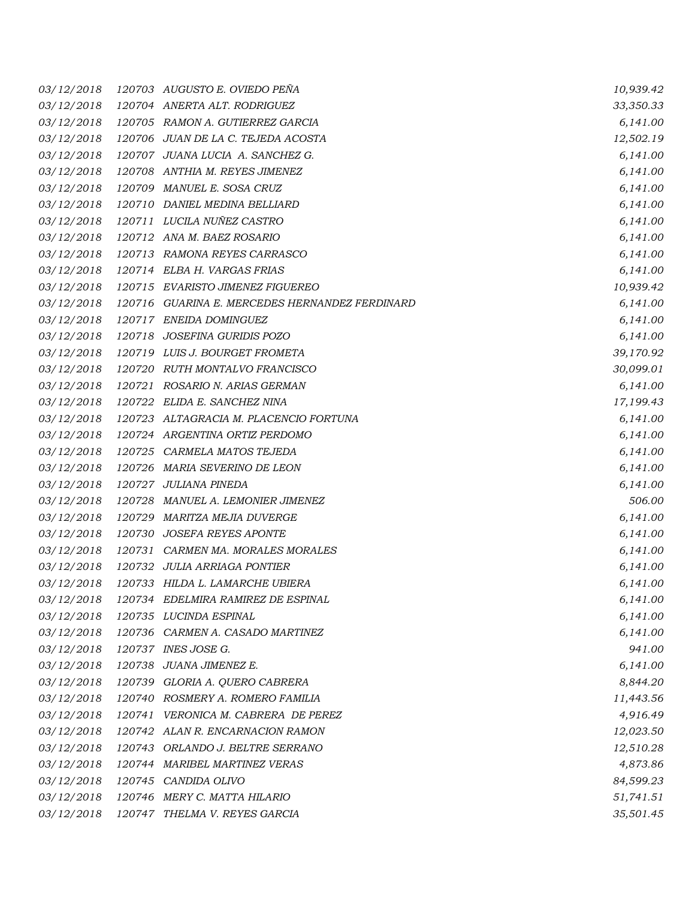| 03/12/2018 |        | 120703 AUGUSTO E. OVIEDO PEÑA                  | 10,939.42 |
|------------|--------|------------------------------------------------|-----------|
| 03/12/2018 |        | 120704 ANERTA ALT. RODRIGUEZ                   | 33,350.33 |
| 03/12/2018 |        | 120705 RAMON A. GUTIERREZ GARCIA               | 6,141.00  |
| 03/12/2018 |        | 120706 JUAN DE LA C. TEJEDA ACOSTA             | 12,502.19 |
| 03/12/2018 |        | 120707 JUANA LUCIA A. SANCHEZ G.               | 6,141.00  |
| 03/12/2018 |        | 120708 ANTHIA M. REYES JIMENEZ                 | 6,141.00  |
| 03/12/2018 |        | 120709 MANUEL E. SOSA CRUZ                     | 6,141.00  |
| 03/12/2018 |        | 120710 DANIEL MEDINA BELLIARD                  | 6,141.00  |
| 03/12/2018 |        | 120711 LUCILA NUÑEZ CASTRO                     | 6,141.00  |
| 03/12/2018 |        | 120712 ANA M. BAEZ ROSARIO                     | 6,141.00  |
| 03/12/2018 |        | 120713 RAMONA REYES CARRASCO                   | 6,141.00  |
| 03/12/2018 |        | 120714 ELBA H. VARGAS FRIAS                    | 6,141.00  |
| 03/12/2018 |        | 120715 EVARISTO JIMENEZ FIGUEREO               | 10,939.42 |
| 03/12/2018 |        | 120716 GUARINA E. MERCEDES HERNANDEZ FERDINARD | 6,141.00  |
| 03/12/2018 |        | 120717 ENEIDA DOMINGUEZ                        | 6,141.00  |
| 03/12/2018 |        | 120718 JOSEFINA GURIDIS POZO                   | 6,141.00  |
| 03/12/2018 |        | 120719 LUIS J. BOURGET FROMETA                 | 39,170.92 |
| 03/12/2018 |        | 120720 RUTH MONTALVO FRANCISCO                 | 30,099.01 |
| 03/12/2018 |        | 120721 ROSARIO N. ARIAS GERMAN                 | 6,141.00  |
| 03/12/2018 |        | 120722 ELIDA E. SANCHEZ NINA                   | 17,199.43 |
| 03/12/2018 |        | 120723 ALTAGRACIA M. PLACENCIO FORTUNA         | 6,141.00  |
| 03/12/2018 |        | 120724 ARGENTINA ORTIZ PERDOMO                 | 6,141.00  |
| 03/12/2018 | 120725 | CARMELA MATOS TEJEDA                           | 6,141.00  |
| 03/12/2018 |        | 120726 MARIA SEVERINO DE LEON                  | 6,141.00  |
| 03/12/2018 |        | 120727 JULIANA PINEDA                          | 6,141.00  |
| 03/12/2018 |        | 120728 MANUEL A. LEMONIER JIMENEZ              | 506.00    |
| 03/12/2018 |        | 120729 MARITZA MEJIA DUVERGE                   | 6,141.00  |
| 03/12/2018 |        | 120730 JOSEFA REYES APONTE                     | 6,141.00  |
| 03/12/2018 |        | 120731 CARMEN MA. MORALES MORALES              | 6,141.00  |
| 03/12/2018 |        | 120732 JULIA ARRIAGA PONTIER                   | 6,141.00  |
| 03/12/2018 |        | 120733 HILDA L. LAMARCHE UBIERA                | 6,141.00  |
| 03/12/2018 |        | 120734 EDELMIRA RAMIREZ DE ESPINAL             | 6,141.00  |
| 03/12/2018 |        | 120735 LUCINDA ESPINAL                         | 6,141.00  |
| 03/12/2018 |        | 120736 CARMEN A. CASADO MARTINEZ               | 6,141.00  |
| 03/12/2018 |        | 120737 INES JOSE G.                            | 941.00    |
| 03/12/2018 |        | 120738 JUANA JIMENEZ E.                        | 6,141.00  |
| 03/12/2018 |        | 120739 GLORIA A. QUERO CABRERA                 | 8,844.20  |
| 03/12/2018 |        | 120740 ROSMERY A. ROMERO FAMILIA               | 11,443.56 |
| 03/12/2018 |        | 120741 VERONICA M. CABRERA DE PEREZ            | 4,916.49  |
| 03/12/2018 |        | 120742 ALAN R. ENCARNACION RAMON               | 12,023.50 |
| 03/12/2018 |        | 120743 ORLANDO J. BELTRE SERRANO               | 12,510.28 |
| 03/12/2018 |        | 120744 MARIBEL MARTINEZ VERAS                  | 4,873.86  |
| 03/12/2018 |        | 120745 CANDIDA OLIVO                           | 84,599.23 |
| 03/12/2018 |        | 120746 MERY C. MATTA HILARIO                   | 51,741.51 |
| 03/12/2018 |        | 120747 THELMA V. REYES GARCIA                  | 35,501.45 |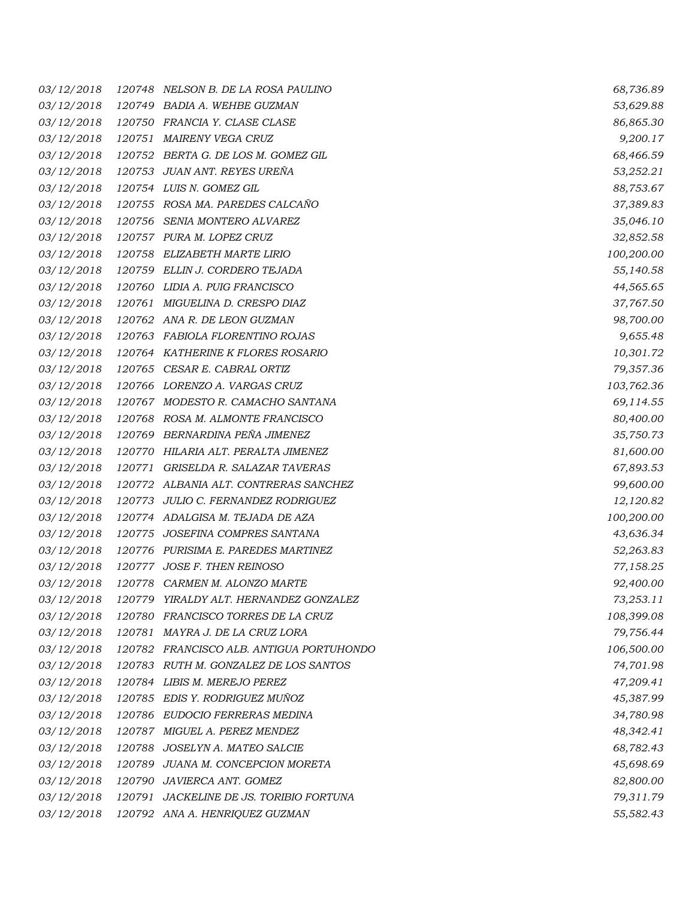*03/12/2018 120748 NELSON B. DE LA ROSA PAULINO 68,736.89 03/12/2018 120749 BADIA A. WEHBE GUZMAN 53,629.88 03/12/2018 120750 FRANCIA Y. CLASE CLASE 86,865.30 03/12/2018 120751 MAIRENY VEGA CRUZ 9,200.17 03/12/2018 120752 BERTA G. DE LOS M. GOMEZ GIL 68,466.59 03/12/2018 120753 JUAN ANT. REYES UREÑA 53,252.21 03/12/2018 120754 LUIS N. GOMEZ GIL 88,753.67 03/12/2018 120755 ROSA MA. PAREDES CALCAÑO 37,389.83 03/12/2018 120756 SENIA MONTERO ALVAREZ 35,046.10 03/12/2018 120757 PURA M. LOPEZ CRUZ 32,852.58 03/12/2018 120758 ELIZABETH MARTE LIRIO 100,200.00 03/12/2018 120759 ELLIN J. CORDERO TEJADA 55,140.58 03/12/2018 120760 LIDIA A. PUIG FRANCISCO 44,565.65 03/12/2018 120761 MIGUELINA D. CRESPO DIAZ 37,767.50 03/12/2018 120762 ANA R. DE LEON GUZMAN 98,700.00 03/12/2018 120763 FABIOLA FLORENTINO ROJAS 9,655.48 03/12/2018 120764 KATHERINE K FLORES ROSARIO 10,301.72 03/12/2018 120765 CESAR E. CABRAL ORTIZ 79,357.36 03/12/2018 120766 LORENZO A. VARGAS CRUZ 103,762.36 03/12/2018 120767 MODESTO R. CAMACHO SANTANA 69,114.55 03/12/2018 120768 ROSA M. ALMONTE FRANCISCO 80,400.00 03/12/2018 120769 BERNARDINA PEÑA JIMENEZ 35,750.73 03/12/2018 120770 HILARIA ALT. PERALTA JIMENEZ 81,600.00 03/12/2018 120771 GRISELDA R. SALAZAR TAVERAS 67,893.53 03/12/2018 120772 ALBANIA ALT. CONTRERAS SANCHEZ 99,600.00 03/12/2018 120773 JULIO C. FERNANDEZ RODRIGUEZ 12,120.82 03/12/2018 120774 ADALGISA M. TEJADA DE AZA 100,200.00 03/12/2018 120775 JOSEFINA COMPRES SANTANA 43,636.34 03/12/2018 120776 PURISIMA E. PAREDES MARTINEZ 52,263.83 03/12/2018 120777 JOSE F. THEN REINOSO 77,158.25 03/12/2018 120778 CARMEN M. ALONZO MARTE 92,400.00 03/12/2018 120779 YIRALDY ALT. HERNANDEZ GONZALEZ 73,253.11 03/12/2018 120780 FRANCISCO TORRES DE LA CRUZ 108,399.08 03/12/2018 120781 MAYRA J. DE LA CRUZ LORA 79,756.44 03/12/2018 120782 FRANCISCO ALB. ANTIGUA PORTUHONDO 106,500.00 03/12/2018 120783 RUTH M. GONZALEZ DE LOS SANTOS 74,701.98 03/12/2018 120784 LIBIS M. MEREJO PEREZ 47,209.41 03/12/2018 120785 EDIS Y. RODRIGUEZ MUÑOZ 45,387.99 03/12/2018 120786 EUDOCIO FERRERAS MEDINA 34,780.98 03/12/2018 120787 MIGUEL A. PEREZ MENDEZ 48,342.41 03/12/2018 120788 JOSELYN A. MATEO SALCIE 68,782.43 03/12/2018 120789 JUANA M. CONCEPCION MORETA 45,698.69 03/12/2018 120790 JAVIERCA ANT. GOMEZ 82,800.00 03/12/2018 120791 JACKELINE DE JS. TORIBIO FORTUNA 79,311.79 03/12/2018 120792 ANA A. HENRIQUEZ GUZMAN 55,582.43*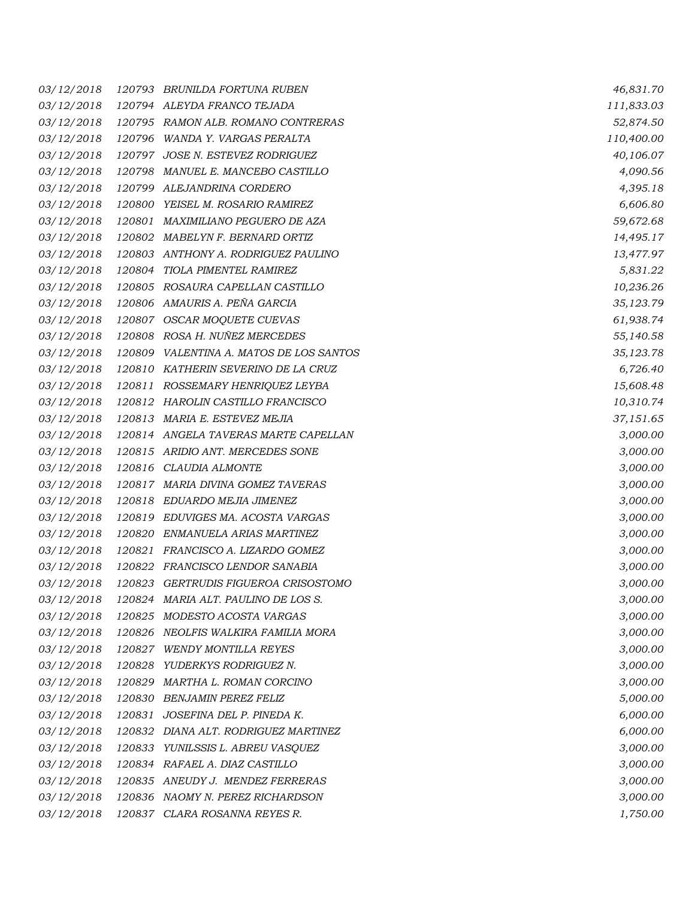| 03/12/2018 |        | 120793 BRUNILDA FORTUNA RUBEN           | 46,831.70  |
|------------|--------|-----------------------------------------|------------|
| 03/12/2018 |        | 120794 ALEYDA FRANCO TEJADA             | 111,833.03 |
| 03/12/2018 |        | 120795 RAMON ALB. ROMANO CONTRERAS      | 52,874.50  |
| 03/12/2018 |        | 120796 WANDA Y. VARGAS PERALTA          | 110,400.00 |
| 03/12/2018 |        | 120797 JOSE N. ESTEVEZ RODRIGUEZ        | 40,106.07  |
| 03/12/2018 |        | 120798 MANUEL E. MANCEBO CASTILLO       | 4,090.56   |
| 03/12/2018 |        | 120799 ALEJANDRINA CORDERO              | 4,395.18   |
| 03/12/2018 |        | 120800 YEISEL M. ROSARIO RAMIREZ        | 6,606.80   |
| 03/12/2018 |        | 120801 MAXIMILIANO PEGUERO DE AZA       | 59,672.68  |
| 03/12/2018 |        | 120802 MABELYN F. BERNARD ORTIZ         | 14,495.17  |
| 03/12/2018 |        | 120803 ANTHONY A. RODRIGUEZ PAULINO     | 13,477.97  |
| 03/12/2018 |        | 120804 TIOLA PIMENTEL RAMIREZ           | 5,831.22   |
| 03/12/2018 |        | 120805 ROSAURA CAPELLAN CASTILLO        | 10,236.26  |
| 03/12/2018 |        | 120806 AMAURIS A. PEÑA GARCIA           | 35,123.79  |
| 03/12/2018 |        | 120807 OSCAR MOQUETE CUEVAS             | 61,938.74  |
| 03/12/2018 |        | 120808 ROSA H. NUÑEZ MERCEDES           | 55,140.58  |
| 03/12/2018 |        | 120809 VALENTINA A. MATOS DE LOS SANTOS | 35,123.78  |
| 03/12/2018 |        | 120810 KATHERIN SEVERINO DE LA CRUZ     | 6,726.40   |
| 03/12/2018 |        | 120811 ROSSEMARY HENRIQUEZ LEYBA        | 15,608.48  |
| 03/12/2018 |        | 120812 HAROLIN CASTILLO FRANCISCO       | 10,310.74  |
| 03/12/2018 |        | 120813 MARIA E. ESTEVEZ MEJIA           | 37,151.65  |
| 03/12/2018 |        | 120814 ANGELA TAVERAS MARTE CAPELLAN    | 3,000.00   |
| 03/12/2018 |        | 120815 ARIDIO ANT. MERCEDES SONE        | 3,000.00   |
| 03/12/2018 |        | 120816 CLAUDIA ALMONTE                  | 3,000.00   |
| 03/12/2018 |        | 120817 MARIA DIVINA GOMEZ TAVERAS       | 3,000.00   |
| 03/12/2018 |        | 120818 EDUARDO MEJIA JIMENEZ            | 3,000.00   |
| 03/12/2018 |        | 120819 EDUVIGES MA. ACOSTA VARGAS       | 3,000.00   |
| 03/12/2018 | 120820 | ENMANUELA ARIAS MARTINEZ                | 3,000.00   |
| 03/12/2018 |        | 120821 FRANCISCO A. LIZARDO GOMEZ       | 3,000.00   |
| 03/12/2018 |        | 120822 FRANCISCO LENDOR SANABIA         | 3,000.00   |
| 03/12/2018 |        | 120823 GERTRUDIS FIGUEROA CRISOSTOMO    | 3,000.00   |
| 03/12/2018 | 120824 | MARIA ALT. PAULINO DE LOS S.            | 3,000.00   |
| 03/12/2018 | 120825 | MODESTO ACOSTA VARGAS                   | 3,000.00   |
| 03/12/2018 |        | 120826 NEOLFIS WALKIRA FAMILIA MORA     | 3,000.00   |
| 03/12/2018 | 120827 | WENDY MONTILLA REYES                    | 3,000.00   |
| 03/12/2018 | 120828 | YUDERKYS RODRIGUEZ N.                   | 3,000.00   |
| 03/12/2018 | 120829 | MARTHA L. ROMAN CORCINO                 | 3,000.00   |
| 03/12/2018 | 120830 | BENJAMIN PEREZ FELIZ                    | 5,000.00   |
| 03/12/2018 | 120831 | JOSEFINA DEL P. PINEDA K.               | 6,000.00   |
| 03/12/2018 | 120832 | DIANA ALT. RODRIGUEZ MARTINEZ           | 6,000.00   |
| 03/12/2018 | 120833 | YUNILSSIS L. ABREU VASQUEZ              | 3,000.00   |
| 03/12/2018 |        | 120834 RAFAEL A. DIAZ CASTILLO          | 3,000.00   |
| 03/12/2018 |        | 120835 ANEUDY J. MENDEZ FERRERAS        | 3,000.00   |
| 03/12/2018 |        | 120836 NAOMY N. PEREZ RICHARDSON        | 3,000.00   |
| 03/12/2018 |        | 120837 CLARA ROSANNA REYES R.           | 1,750.00   |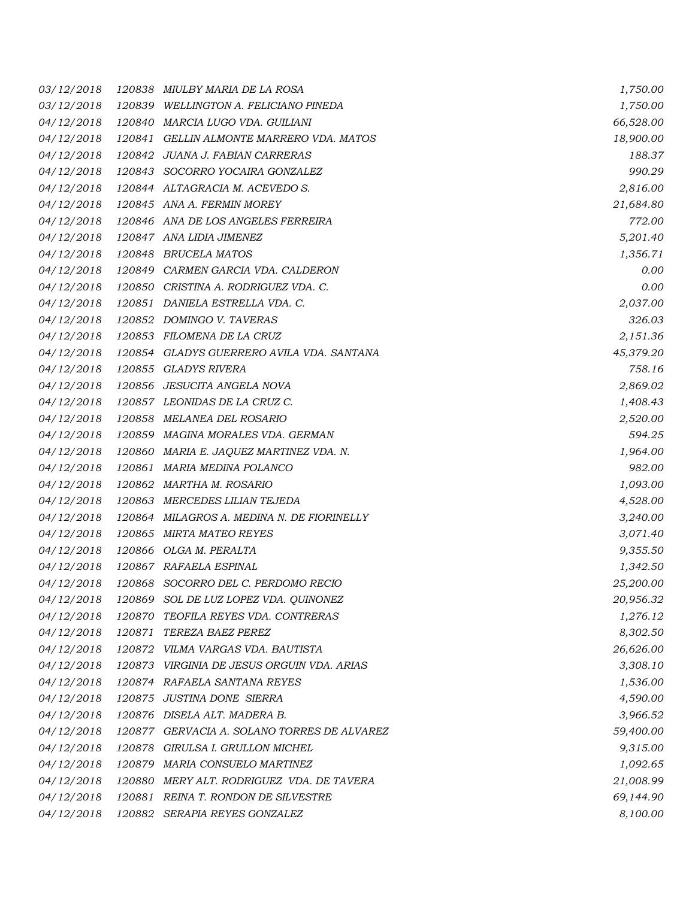| 03/12/2018 | 120838 | MIULBY MARIA DE LA ROSA                     | 1,750.00  |
|------------|--------|---------------------------------------------|-----------|
| 03/12/2018 |        | 120839 WELLINGTON A. FELICIANO PINEDA       | 1,750.00  |
| 04/12/2018 |        | 120840 MARCIA LUGO VDA. GUILIANI            | 66,528.00 |
| 04/12/2018 |        | 120841 GELLIN ALMONTE MARRERO VDA. MATOS    | 18,900.00 |
| 04/12/2018 |        | 120842 JUANA J. FABIAN CARRERAS             | 188.37    |
| 04/12/2018 | 120843 | SOCORRO YOCAIRA GONZALEZ                    | 990.29    |
| 04/12/2018 |        | 120844 ALTAGRACIA M. ACEVEDO S.             | 2,816.00  |
| 04/12/2018 |        | 120845 ANA A. FERMIN MOREY                  | 21,684.80 |
| 04/12/2018 |        | 120846 ANA DE LOS ANGELES FERREIRA          | 772.00    |
| 04/12/2018 |        | 120847 ANA LIDIA JIMENEZ                    | 5,201.40  |
| 04/12/2018 |        | 120848 BRUCELA MATOS                        | 1,356.71  |
| 04/12/2018 |        | 120849 CARMEN GARCIA VDA. CALDERON          | 0.00      |
| 04/12/2018 |        | 120850 CRISTINA A. RODRIGUEZ VDA. C.        | 0.00      |
| 04/12/2018 |        | 120851 DANIELA ESTRELLA VDA. C.             | 2,037.00  |
| 04/12/2018 |        | 120852 DOMINGO V. TAVERAS                   | 326.03    |
| 04/12/2018 |        | 120853 FILOMENA DE LA CRUZ                  | 2,151.36  |
| 04/12/2018 |        | 120854 GLADYS GUERRERO AVILA VDA. SANTANA   | 45,379.20 |
| 04/12/2018 |        | 120855 GLADYS RIVERA                        | 758.16    |
| 04/12/2018 |        | 120856 JESUCITA ANGELA NOVA                 | 2,869.02  |
| 04/12/2018 |        | 120857 LEONIDAS DE LA CRUZ C.               | 1,408.43  |
| 04/12/2018 |        | 120858 MELANEA DEL ROSARIO                  | 2,520.00  |
| 04/12/2018 |        | 120859 MAGINA MORALES VDA. GERMAN           | 594.25    |
| 04/12/2018 |        | 120860 MARIA E. JAQUEZ MARTINEZ VDA. N.     | 1,964.00  |
| 04/12/2018 |        | 120861 MARIA MEDINA POLANCO                 | 982.00    |
| 04/12/2018 |        | 120862 MARTHA M. ROSARIO                    | 1,093.00  |
| 04/12/2018 |        | 120863 MERCEDES LILIAN TEJEDA               | 4,528.00  |
| 04/12/2018 |        | 120864 MILAGROS A. MEDINA N. DE FIORINELLY  | 3,240.00  |
| 04/12/2018 |        | 120865 MIRTA MATEO REYES                    | 3,071.40  |
| 04/12/2018 |        | 120866 OLGA M. PERALTA                      | 9,355.50  |
| 04/12/2018 |        | 120867 RAFAELA ESPINAL                      | 1,342.50  |
| 04/12/2018 | 120868 | SOCORRO DEL C. PERDOMO RECIO                | 25,200.00 |
| 04/12/2018 | 120869 | SOL DE LUZ LOPEZ VDA. QUINONEZ              | 20,956.32 |
| 04/12/2018 |        | 120870 TEOFILA REYES VDA. CONTRERAS         | 1,276.12  |
| 04/12/2018 | 120871 | TEREZA BAEZ PEREZ                           | 8,302.50  |
| 04/12/2018 |        | 120872 VILMA VARGAS VDA. BAUTISTA           | 26,626.00 |
| 04/12/2018 |        | 120873 VIRGINIA DE JESUS ORGUIN VDA. ARIAS  | 3,308.10  |
| 04/12/2018 | 120874 | RAFAELA SANTANA REYES                       | 1,536.00  |
| 04/12/2018 | 120875 | JUSTINA DONE SIERRA                         | 4,590.00  |
| 04/12/2018 | 120876 | DISELA ALT. MADERA B.                       | 3,966.52  |
| 04/12/2018 |        | 120877 GERVACIA A. SOLANO TORRES DE ALVAREZ | 59,400.00 |
| 04/12/2018 | 120878 | GIRULSA I. GRULLON MICHEL                   | 9,315.00  |
| 04/12/2018 | 120879 | MARIA CONSUELO MARTINEZ                     | 1,092.65  |
| 04/12/2018 | 120880 | MERY ALT. RODRIGUEZ VDA. DE TAVERA          | 21,008.99 |
| 04/12/2018 | 120881 | REINA T. RONDON DE SILVESTRE                | 69,144.90 |
| 04/12/2018 | 120882 | SERAPIA REYES GONZALEZ                      | 8,100.00  |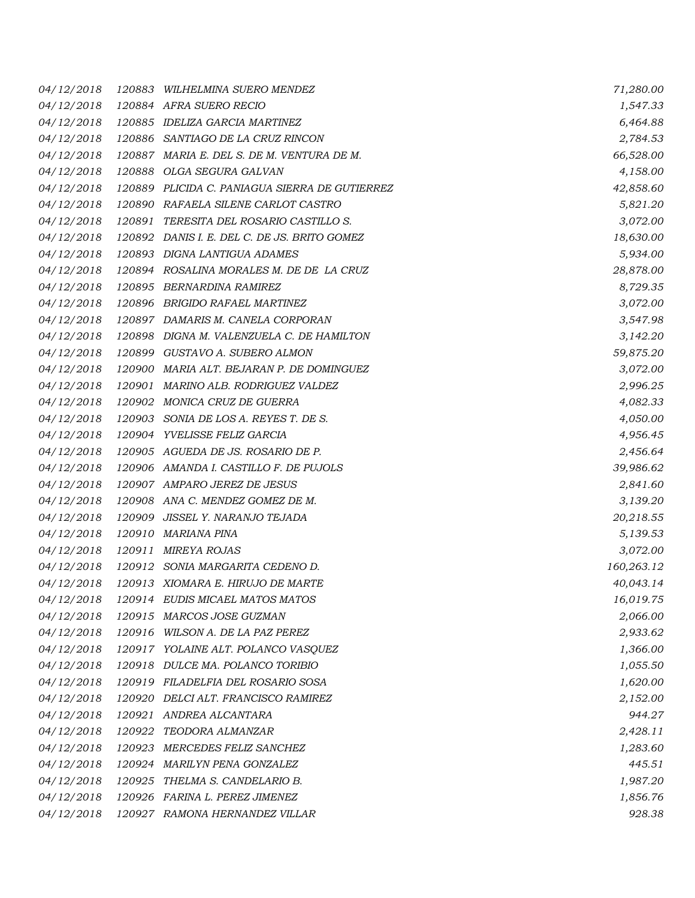| 04/12/2018 |        | 120883 WILHELMINA SUERO MENDEZ                 | 71,280.00  |
|------------|--------|------------------------------------------------|------------|
| 04/12/2018 |        | 120884 AFRA SUERO RECIO                        | 1,547.33   |
| 04/12/2018 |        | 120885 IDELIZA GARCIA MARTINEZ                 | 6,464.88   |
| 04/12/2018 |        | 120886 SANTIAGO DE LA CRUZ RINCON              | 2,784.53   |
| 04/12/2018 |        | 120887 MARIA E. DEL S. DE M. VENTURA DE M.     | 66,528.00  |
| 04/12/2018 |        | 120888 OLGA SEGURA GALVAN                      | 4,158.00   |
| 04/12/2018 |        | 120889 PLICIDA C. PANIAGUA SIERRA DE GUTIERREZ | 42,858.60  |
| 04/12/2018 |        | 120890 RAFAELA SILENE CARLOT CASTRO            | 5,821.20   |
| 04/12/2018 |        | 120891 TERESITA DEL ROSARIO CASTILLO S.        | 3,072.00   |
| 04/12/2018 |        | 120892 DANIS I. E. DEL C. DE JS. BRITO GOMEZ   | 18,630.00  |
| 04/12/2018 |        | 120893 DIGNA LANTIGUA ADAMES                   | 5,934.00   |
| 04/12/2018 |        | 120894 ROSALINA MORALES M. DE DE LA CRUZ       | 28,878.00  |
| 04/12/2018 |        | 120895 BERNARDINA RAMIREZ                      | 8,729.35   |
| 04/12/2018 |        | 120896 BRIGIDO RAFAEL MARTINEZ                 | 3,072.00   |
| 04/12/2018 |        | 120897 DAMARIS M. CANELA CORPORAN              | 3,547.98   |
| 04/12/2018 |        | 120898 DIGNA M. VALENZUELA C. DE HAMILTON      | 3,142.20   |
| 04/12/2018 |        | 120899 GUSTAVO A. SUBERO ALMON                 | 59,875.20  |
| 04/12/2018 | 120900 | MARIA ALT. BEJARAN P. DE DOMINGUEZ             | 3,072.00   |
| 04/12/2018 |        | 120901 MARINO ALB. RODRIGUEZ VALDEZ            | 2,996.25   |
| 04/12/2018 |        | 120902 MONICA CRUZ DE GUERRA                   | 4,082.33   |
| 04/12/2018 |        | 120903 SONIA DE LOS A. REYES T. DE S.          | 4,050.00   |
| 04/12/2018 |        | 120904 YVELISSE FELIZ GARCIA                   | 4,956.45   |
| 04/12/2018 |        | 120905 AGUEDA DE JS. ROSARIO DE P.             | 2,456.64   |
| 04/12/2018 |        | 120906 AMANDA I. CASTILLO F. DE PUJOLS         | 39,986.62  |
| 04/12/2018 |        | 120907 AMPARO JEREZ DE JESUS                   | 2,841.60   |
| 04/12/2018 |        | 120908 ANA C. MENDEZ GOMEZ DE M.               | 3,139.20   |
| 04/12/2018 | 120909 | JISSEL Y. NARANJO TEJADA                       | 20,218.55  |
| 04/12/2018 | 120910 | MARIANA PINA                                   | 5,139.53   |
| 04/12/2018 |        | 120911 MIREYA ROJAS                            | 3,072.00   |
| 04/12/2018 | 120912 | SONIA MARGARITA CEDENO D.                      | 160,263.12 |
| 04/12/2018 |        | 120913 XIOMARA E. HIRUJO DE MARTE              | 40,043.14  |
| 04/12/2018 |        | 120914 EUDIS MICAEL MATOS MATOS                | 16,019.75  |
| 04/12/2018 |        | 120915 MARCOS JOSE GUZMAN                      | 2,066.00   |
| 04/12/2018 | 120916 | WILSON A. DE LA PAZ PEREZ                      | 2,933.62   |
| 04/12/2018 |        | 120917 YOLAINE ALT. POLANCO VASQUEZ            | 1,366.00   |
| 04/12/2018 | 120918 | DULCE MA. POLANCO TORIBIO                      | 1,055.50   |
| 04/12/2018 | 120919 | FILADELFIA DEL ROSARIO SOSA                    | 1,620.00   |
| 04/12/2018 | 120920 | DELCI ALT. FRANCISCO RAMIREZ                   | 2,152.00   |
| 04/12/2018 |        | 120921 ANDREA ALCANTARA                        | 944.27     |
| 04/12/2018 | 120922 | TEODORA ALMANZAR                               | 2,428.11   |
| 04/12/2018 |        | 120923 MERCEDES FELIZ SANCHEZ                  | 1,283.60   |
| 04/12/2018 | 120924 | MARILYN PENA GONZALEZ                          | 445.51     |
| 04/12/2018 |        | 120925 THELMA S. CANDELARIO B.                 | 1,987.20   |
| 04/12/2018 |        | 120926 FARINA L. PEREZ JIMENEZ                 | 1,856.76   |
| 04/12/2018 |        | 120927 RAMONA HERNANDEZ VILLAR                 | 928.38     |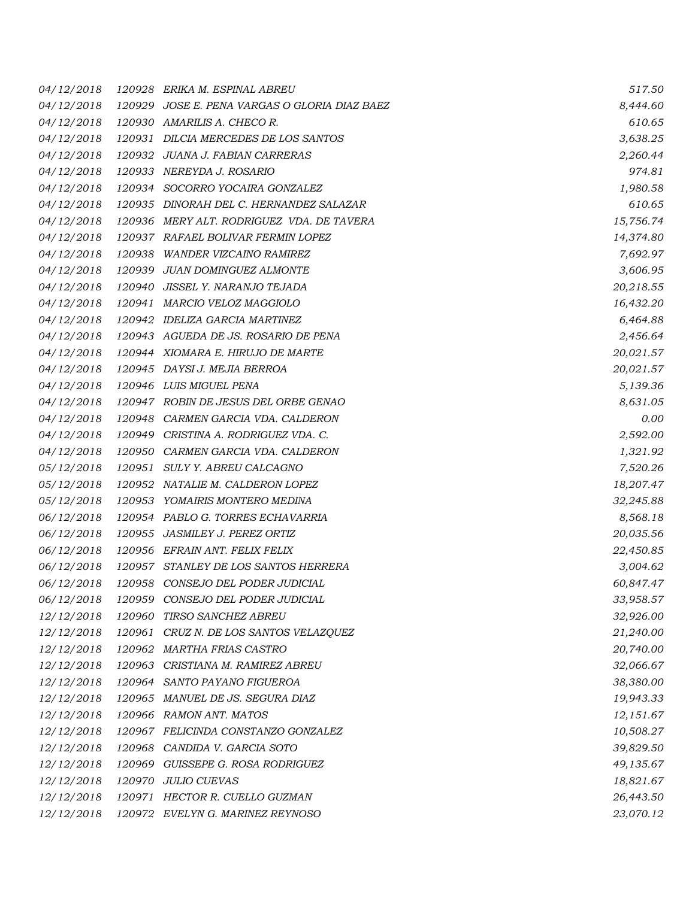| 04/12/2018 |        | 120928 ERIKA M. ESPINAL ABREU                 | 517.50    |
|------------|--------|-----------------------------------------------|-----------|
| 04/12/2018 |        | 120929 JOSE E. PENA VARGAS O GLORIA DIAZ BAEZ | 8,444.60  |
| 04/12/2018 |        | 120930 AMARILIS A. CHECO R.                   | 610.65    |
| 04/12/2018 |        | 120931 DILCIA MERCEDES DE LOS SANTOS          | 3,638.25  |
| 04/12/2018 |        | 120932 JUANA J. FABIAN CARRERAS               | 2,260.44  |
| 04/12/2018 |        | 120933 NEREYDA J. ROSARIO                     | 974.81    |
| 04/12/2018 |        | 120934 SOCORRO YOCAIRA GONZALEZ               | 1,980.58  |
| 04/12/2018 |        | 120935 DINORAH DEL C. HERNANDEZ SALAZAR       | 610.65    |
| 04/12/2018 |        | 120936 MERY ALT. RODRIGUEZ VDA. DE TAVERA     | 15,756.74 |
| 04/12/2018 |        | 120937 RAFAEL BOLIVAR FERMIN LOPEZ            | 14,374.80 |
| 04/12/2018 | 120938 | WANDER VIZCAINO RAMIREZ                       | 7,692.97  |
| 04/12/2018 |        | 120939 JUAN DOMINGUEZ ALMONTE                 | 3,606.95  |
| 04/12/2018 |        | 120940 JISSEL Y. NARANJO TEJADA               | 20,218.55 |
| 04/12/2018 |        | 120941 MARCIO VELOZ MAGGIOLO                  | 16,432.20 |
| 04/12/2018 |        | 120942 IDELIZA GARCIA MARTINEZ                | 6,464.88  |
| 04/12/2018 |        | 120943 AGUEDA DE JS. ROSARIO DE PENA          | 2,456.64  |
| 04/12/2018 |        | 120944 XIOMARA E. HIRUJO DE MARTE             | 20,021.57 |
| 04/12/2018 |        | 120945 DAYSI J. MEJIA BERROA                  | 20,021.57 |
| 04/12/2018 |        | 120946 LUIS MIGUEL PENA                       | 5,139.36  |
| 04/12/2018 |        | 120947 ROBIN DE JESUS DEL ORBE GENAO          | 8,631.05  |
| 04/12/2018 |        | 120948 CARMEN GARCIA VDA. CALDERON            | 0.00      |
| 04/12/2018 |        | 120949 CRISTINA A. RODRIGUEZ VDA. C.          | 2,592.00  |
| 04/12/2018 |        | 120950 CARMEN GARCIA VDA. CALDERON            | 1,321.92  |
| 05/12/2018 |        | 120951 SULY Y. ABREU CALCAGNO                 | 7,520.26  |
| 05/12/2018 |        | 120952 NATALIE M. CALDERON LOPEZ              | 18,207.47 |
| 05/12/2018 |        | 120953 YOMAIRIS MONTERO MEDINA                | 32,245.88 |
| 06/12/2018 |        | 120954 PABLO G. TORRES ECHAVARRIA             | 8,568.18  |
| 06/12/2018 | 120955 | JASMILEY J. PEREZ ORTIZ                       | 20,035.56 |
| 06/12/2018 |        | 120956 EFRAIN ANT. FELIX FELIX                | 22,450.85 |
| 06/12/2018 |        | 120957 STANLEY DE LOS SANTOS HERRERA          | 3,004.62  |
| 06/12/2018 |        | 120958 CONSEJO DEL PODER JUDICIAL             | 60,847.47 |
| 06/12/2018 | 120959 | CONSEJO DEL PODER JUDICIAL                    | 33,958.57 |
| 12/12/2018 |        | 120960 TIRSO SANCHEZ ABREU                    | 32,926.00 |
| 12/12/2018 |        | 120961 CRUZ N. DE LOS SANTOS VELAZQUEZ        | 21,240.00 |
| 12/12/2018 | 120962 | MARTHA FRIAS CASTRO                           | 20,740.00 |
| 12/12/2018 | 120963 | CRISTIANA M. RAMIREZ ABREU                    | 32,066.67 |
| 12/12/2018 |        | 120964 SANTO PAYANO FIGUEROA                  | 38,380.00 |
| 12/12/2018 |        | 120965 MANUEL DE JS. SEGURA DIAZ              | 19,943.33 |
| 12/12/2018 |        | 120966 RAMON ANT. MATOS                       | 12,151.67 |
| 12/12/2018 |        | 120967 FELICINDA CONSTANZO GONZALEZ           | 10,508.27 |
| 12/12/2018 |        | 120968 CANDIDA V. GARCIA SOTO                 | 39,829.50 |
| 12/12/2018 | 120969 | GUISSEPE G. ROSA RODRIGUEZ                    | 49,135.67 |
| 12/12/2018 | 120970 | <b>JULIO CUEVAS</b>                           | 18,821.67 |
| 12/12/2018 |        | 120971 HECTOR R. CUELLO GUZMAN                | 26,443.50 |
| 12/12/2018 |        | 120972 EVELYN G. MARINEZ REYNOSO              | 23,070.12 |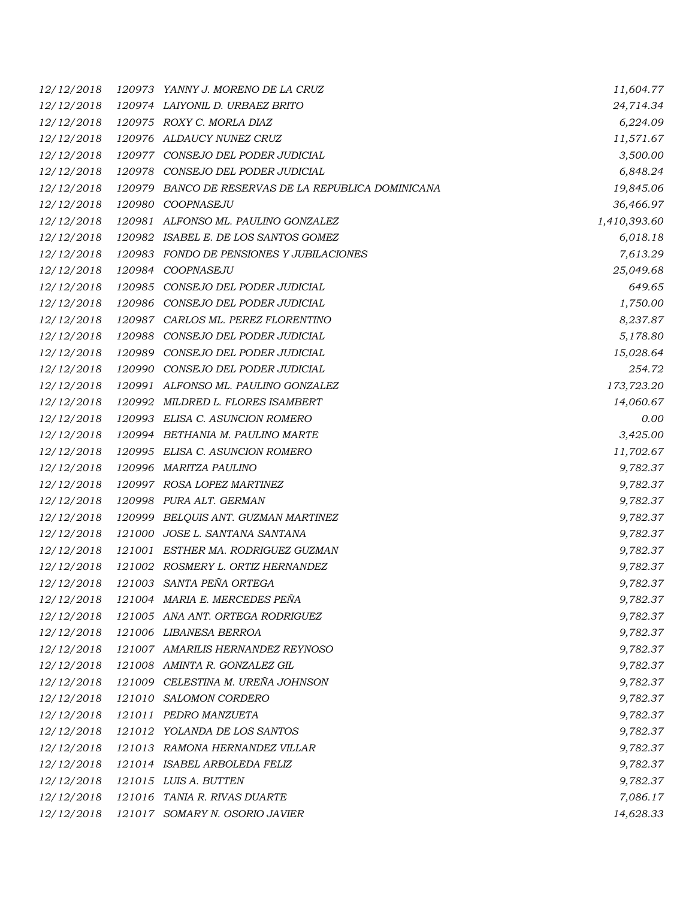| 12/12/2018 |        | 120973 YANNY J. MORENO DE LA CRUZ            | 11,604.77    |
|------------|--------|----------------------------------------------|--------------|
| 12/12/2018 |        | 120974 LAIYONIL D. URBAEZ BRITO              | 24,714.34    |
| 12/12/2018 |        | 120975 ROXY C. MORLA DIAZ                    | 6,224.09     |
| 12/12/2018 |        | 120976 ALDAUCY NUNEZ CRUZ                    | 11,571.67    |
| 12/12/2018 |        | 120977 CONSEJO DEL PODER JUDICIAL            | 3,500.00     |
| 12/12/2018 | 120978 | CONSEJO DEL PODER JUDICIAL                   | 6,848.24     |
| 12/12/2018 | 120979 | BANCO DE RESERVAS DE LA REPUBLICA DOMINICANA | 19,845.06    |
| 12/12/2018 | 120980 | COOPNASEJU                                   | 36,466.97    |
| 12/12/2018 |        | 120981 ALFONSO ML. PAULINO GONZALEZ          | 1,410,393.60 |
| 12/12/2018 |        | 120982 ISABEL E. DE LOS SANTOS GOMEZ         | 6,018.18     |
| 12/12/2018 |        | 120983 FONDO DE PENSIONES Y JUBILACIONES     | 7,613.29     |
| 12/12/2018 |        | 120984 COOPNASEJU                            | 25,049.68    |
| 12/12/2018 |        | 120985 CONSEJO DEL PODER JUDICIAL            | 649.65       |
| 12/12/2018 |        | 120986 CONSEJO DEL PODER JUDICIAL            | 1,750.00     |
| 12/12/2018 |        | 120987 CARLOS ML. PEREZ FLORENTINO           | 8,237.87     |
| 12/12/2018 | 120988 | CONSEJO DEL PODER JUDICIAL                   | 5,178.80     |
| 12/12/2018 |        | 120989 CONSEJO DEL PODER JUDICIAL            | 15,028.64    |
| 12/12/2018 | 120990 | CONSEJO DEL PODER JUDICIAL                   | 254.72       |
| 12/12/2018 |        | 120991 ALFONSO ML. PAULINO GONZALEZ          | 173,723.20   |
| 12/12/2018 |        | 120992 MILDRED L. FLORES ISAMBERT            | 14,060.67    |
| 12/12/2018 |        | 120993 ELISA C. ASUNCION ROMERO              | 0.00         |
| 12/12/2018 |        | 120994 BETHANIA M. PAULINO MARTE             | 3,425.00     |
| 12/12/2018 |        | 120995 ELISA C. ASUNCION ROMERO              | 11,702.67    |
| 12/12/2018 |        | 120996 MARITZA PAULINO                       | 9,782.37     |
| 12/12/2018 |        | 120997 ROSA LOPEZ MARTINEZ                   | 9,782.37     |
| 12/12/2018 |        | 120998 PURA ALT. GERMAN                      | 9,782.37     |
| 12/12/2018 |        | 120999 BELQUIS ANT. GUZMAN MARTINEZ          | 9,782.37     |
| 12/12/2018 |        | 121000 JOSE L. SANTANA SANTANA               | 9,782.37     |
| 12/12/2018 |        | 121001 ESTHER MA. RODRIGUEZ GUZMAN           | 9,782.37     |
| 12/12/2018 |        | 121002 ROSMERY L. ORTIZ HERNANDEZ            | 9,782.37     |
| 12/12/2018 | 121003 | SANTA PEÑA ORTEGA                            | 9,782.37     |
| 12/12/2018 |        | 121004 MARIA E. MERCEDES PENA                | 9,782.37     |
| 12/12/2018 |        | 121005 ANA ANT. ORTEGA RODRIGUEZ             | 9,782.37     |
| 12/12/2018 |        | 121006 LIBANESA BERROA                       | 9,782.37     |
| 12/12/2018 |        | 121007 AMARILIS HERNANDEZ REYNOSO            | 9,782.37     |
| 12/12/2018 |        | 121008 AMINTA R. GONZALEZ GIL                | 9,782.37     |
| 12/12/2018 |        | 121009 CELESTINA M. UREÑA JOHNSON            | 9,782.37     |
| 12/12/2018 |        | 121010 SALOMON CORDERO                       | 9,782.37     |
| 12/12/2018 |        | 121011 PEDRO MANZUETA                        | 9,782.37     |
| 12/12/2018 |        | 121012 YOLANDA DE LOS SANTOS                 | 9,782.37     |
| 12/12/2018 |        | 121013 RAMONA HERNANDEZ VILLAR               | 9,782.37     |
| 12/12/2018 |        | 121014 ISABEL ARBOLEDA FELIZ                 | 9,782.37     |
| 12/12/2018 |        | 121015 LUIS A. BUTTEN                        | 9,782.37     |
| 12/12/2018 |        | 121016 TANIA R. RIVAS DUARTE                 | 7,086.17     |
| 12/12/2018 |        | 121017 SOMARY N. OSORIO JAVIER               | 14,628.33    |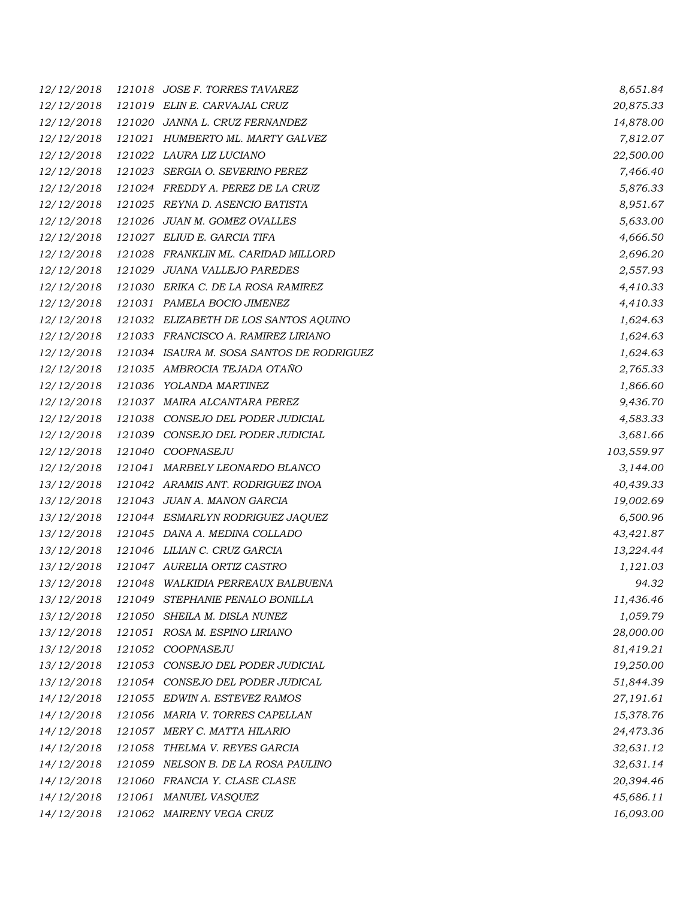| 12/12/2018 |        | 121018 JOSE F. TORRES TAVAREZ             | 8,651.84   |
|------------|--------|-------------------------------------------|------------|
| 12/12/2018 |        | 121019 ELIN E. CARVAJAL CRUZ              | 20,875.33  |
| 12/12/2018 |        | 121020 JANNA L. CRUZ FERNANDEZ            | 14,878.00  |
| 12/12/2018 |        | 121021 HUMBERTO ML. MARTY GALVEZ          | 7,812.07   |
| 12/12/2018 |        | 121022 LAURA LIZ LUCIANO                  | 22,500.00  |
| 12/12/2018 |        | 121023 SERGIA O. SEVERINO PEREZ           | 7,466.40   |
| 12/12/2018 |        | 121024 FREDDY A. PEREZ DE LA CRUZ         | 5,876.33   |
| 12/12/2018 |        | 121025 REYNA D. ASENCIO BATISTA           | 8,951.67   |
| 12/12/2018 |        | 121026 JUAN M. GOMEZ OVALLES              | 5,633.00   |
| 12/12/2018 |        | 121027 ELIUD E. GARCIA TIFA               | 4,666.50   |
| 12/12/2018 |        | 121028 FRANKLIN ML. CARIDAD MILLORD       | 2,696.20   |
| 12/12/2018 |        | 121029 JUANA VALLEJO PAREDES              | 2,557.93   |
| 12/12/2018 |        | 121030 ERIKA C. DE LA ROSA RAMIREZ        | 4,410.33   |
| 12/12/2018 |        | 121031 PAMELA BOCIO JIMENEZ               | 4,410.33   |
| 12/12/2018 |        | 121032 ELIZABETH DE LOS SANTOS AQUINO     | 1,624.63   |
| 12/12/2018 |        | 121033 FRANCISCO A. RAMIREZ LIRIANO       | 1,624.63   |
| 12/12/2018 |        | 121034 ISAURA M. SOSA SANTOS DE RODRIGUEZ | 1,624.63   |
| 12/12/2018 |        | 121035 AMBROCIA TEJADA OTAÑO              | 2,765.33   |
| 12/12/2018 |        | 121036 YOLANDA MARTINEZ                   | 1,866.60   |
| 12/12/2018 |        | 121037 MAIRA ALCANTARA PEREZ              | 9,436.70   |
| 12/12/2018 | 121038 | CONSEJO DEL PODER JUDICIAL                | 4,583.33   |
| 12/12/2018 |        | 121039 CONSEJO DEL PODER JUDICIAL         | 3,681.66   |
| 12/12/2018 |        | 121040 COOPNASEJU                         | 103,559.97 |
| 12/12/2018 |        | 121041 MARBELY LEONARDO BLANCO            | 3,144.00   |
| 13/12/2018 |        | 121042 ARAMIS ANT. RODRIGUEZ INOA         | 40,439.33  |
| 13/12/2018 |        | 121043 JUAN A. MANON GARCIA               | 19,002.69  |
| 13/12/2018 |        | 121044 ESMARLYN RODRIGUEZ JAQUEZ          | 6,500.96   |
| 13/12/2018 |        | 121045 DANA A. MEDINA COLLADO             | 43,421.87  |
| 13/12/2018 |        | 121046 LILIAN C. CRUZ GARCIA              | 13,224.44  |
| 13/12/2018 |        | 121047 AURELIA ORTIZ CASTRO               | 1,121.03   |
| 13/12/2018 |        | 121048 WALKIDIA PERREAUX BALBUENA         | 94.32      |
| 13/12/2018 | 121049 | STEPHANIE PENALO BONILLA                  | 11,436.46  |
| 13/12/2018 | 121050 | SHEILA M. DISLA NUNEZ                     | 1,059.79   |
| 13/12/2018 | 121051 | ROSA M. ESPINO LIRIANO                    | 28,000.00  |
| 13/12/2018 | 121052 | COOPNASEJU                                | 81,419.21  |
| 13/12/2018 | 121053 | CONSEJO DEL PODER JUDICIAL                | 19,250.00  |
| 13/12/2018 | 121054 | CONSEJO DEL PODER JUDICAL                 | 51,844.39  |
| 14/12/2018 |        | 121055 EDWIN A. ESTEVEZ RAMOS             | 27,191.61  |
| 14/12/2018 |        | 121056 MARIA V. TORRES CAPELLAN           | 15,378.76  |
| 14/12/2018 |        | 121057 MERY C. MATTA HILARIO              | 24,473.36  |
| 14/12/2018 | 121058 | THELMA V. REYES GARCIA                    | 32,631.12  |
| 14/12/2018 |        | 121059 NELSON B. DE LA ROSA PAULINO       | 32,631.14  |
| 14/12/2018 |        | 121060 FRANCIA Y. CLASE CLASE             | 20,394.46  |
| 14/12/2018 |        | 121061 MANUEL VASQUEZ                     | 45,686.11  |
| 14/12/2018 |        | 121062 MAIRENY VEGA CRUZ                  | 16,093.00  |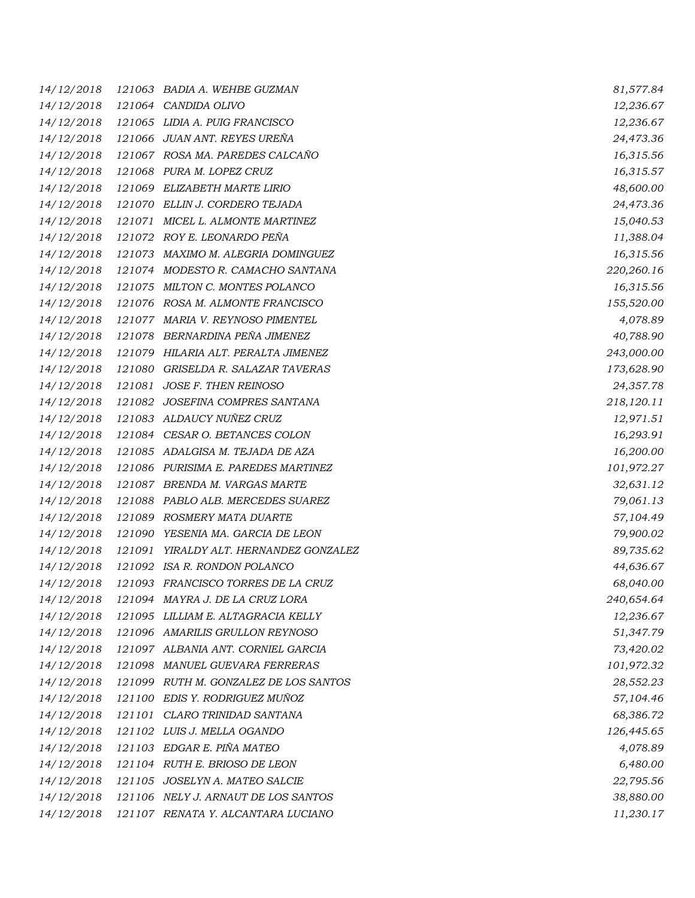*14/12/2018 121063 BADIA A. WEHBE GUZMAN 81,577.84 14/12/2018 121064 CANDIDA OLIVO 12,236.67 14/12/2018 121065 LIDIA A. PUIG FRANCISCO 12,236.67 14/12/2018 121066 JUAN ANT. REYES UREÑA 24,473.36 14/12/2018 121067 ROSA MA. PAREDES CALCAÑO 16,315.56 14/12/2018 121068 PURA M. LOPEZ CRUZ 16,315.57 14/12/2018 121069 ELIZABETH MARTE LIRIO 48,600.00 14/12/2018 121070 ELLIN J. CORDERO TEJADA 24,473.36 14/12/2018 121071 MICEL L. ALMONTE MARTINEZ 15,040.53 14/12/2018 121072 ROY E. LEONARDO PEÑA 11,388.04 14/12/2018 121073 MAXIMO M. ALEGRIA DOMINGUEZ 16,315.56 14/12/2018 121074 MODESTO R. CAMACHO SANTANA 220,260.16 14/12/2018 121075 MILTON C. MONTES POLANCO 16,315.56 14/12/2018 121076 ROSA M. ALMONTE FRANCISCO 155,520.00 14/12/2018 121077 MARIA V. REYNOSO PIMENTEL 4,078.89 14/12/2018 121078 BERNARDINA PEÑA JIMENEZ 40,788.90 14/12/2018 121079 HILARIA ALT. PERALTA JIMENEZ 243,000.00 14/12/2018 121080 GRISELDA R. SALAZAR TAVERAS 173,628.90 14/12/2018 121081 JOSE F. THEN REINOSO 24,357.78 14/12/2018 121082 JOSEFINA COMPRES SANTANA 218,120.11 14/12/2018 121083 ALDAUCY NUÑEZ CRUZ 12,971.51 14/12/2018 121084 CESAR O. BETANCES COLON 16,293.91 14/12/2018 121085 ADALGISA M. TEJADA DE AZA 16,200.00 14/12/2018 121086 PURISIMA E. PAREDES MARTINEZ 101,972.27 14/12/2018 121087 BRENDA M. VARGAS MARTE 32,631.12 14/12/2018 121088 PABLO ALB. MERCEDES SUAREZ 79,061.13 14/12/2018 121089 ROSMERY MATA DUARTE 57,104.49 14/12/2018 121090 YESENIA MA. GARCIA DE LEON 79,900.02 14/12/2018 121091 YIRALDY ALT. HERNANDEZ GONZALEZ 89,735.62 14/12/2018 121092 ISA R. RONDON POLANCO 44,636.67 14/12/2018 121093 FRANCISCO TORRES DE LA CRUZ 68,040.00 14/12/2018 121094 MAYRA J. DE LA CRUZ LORA 240,654.64 14/12/2018 121095 LILLIAM E. ALTAGRACIA KELLY 12,236.67 14/12/2018 121096 AMARILIS GRULLON REYNOSO 51,347.79 14/12/2018 121097 ALBANIA ANT. CORNIEL GARCIA 73,420.02 14/12/2018 121098 MANUEL GUEVARA FERRERAS 101,972.32 14/12/2018 121099 RUTH M. GONZALEZ DE LOS SANTOS 28,552.23 14/12/2018 121100 EDIS Y. RODRIGUEZ MUÑOZ 57,104.46 14/12/2018 121101 CLARO TRINIDAD SANTANA 68,386.72 14/12/2018 121102 LUIS J. MELLA OGANDO 126,445.65 14/12/2018 121103 EDGAR E. PIÑA MATEO 4,078.89 14/12/2018 121104 RUTH E. BRIOSO DE LEON 6,480.00 14/12/2018 121105 JOSELYN A. MATEO SALCIE 22,795.56 14/12/2018 121106 NELY J. ARNAUT DE LOS SANTOS 38,880.00 14/12/2018 121107 RENATA Y. ALCANTARA LUCIANO 11,230.17*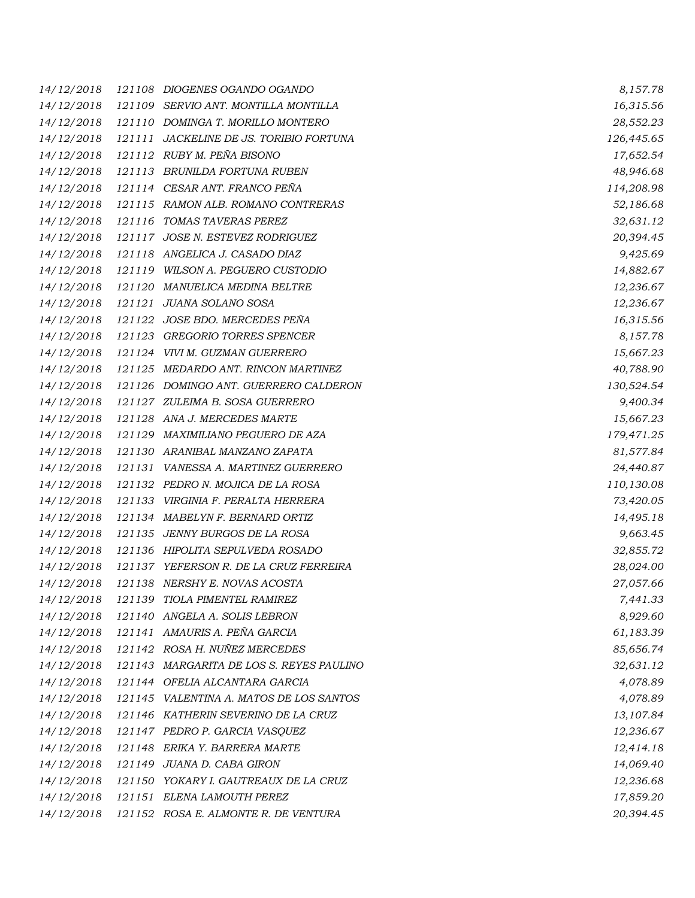| 14/12/2018 |        | 121108 DIOGENES OGANDO OGANDO            | 8,157.78   |
|------------|--------|------------------------------------------|------------|
| 14/12/2018 |        | 121109 SERVIO ANT. MONTILLA MONTILLA     | 16,315.56  |
| 14/12/2018 |        | 121110 DOMINGA T. MORILLO MONTERO        | 28,552.23  |
| 14/12/2018 | 121111 | JACKELINE DE JS. TORIBIO FORTUNA         | 126,445.65 |
| 14/12/2018 |        | 121112 RUBY M. PEÑA BISONO               | 17,652.54  |
| 14/12/2018 |        | 121113 BRUNILDA FORTUNA RUBEN            | 48,946.68  |
| 14/12/2018 |        | 121114 CESAR ANT. FRANCO PEÑA            | 114,208.98 |
| 14/12/2018 |        | 121115 RAMON ALB. ROMANO CONTRERAS       | 52,186.68  |
| 14/12/2018 |        | 121116 TOMAS TAVERAS PEREZ               | 32,631.12  |
| 14/12/2018 |        | 121117 JOSE N. ESTEVEZ RODRIGUEZ         | 20,394.45  |
| 14/12/2018 |        | 121118 ANGELICA J. CASADO DIAZ           | 9,425.69   |
| 14/12/2018 |        | 121119 WILSON A. PEGUERO CUSTODIO        | 14,882.67  |
| 14/12/2018 |        | 121120 MANUELICA MEDINA BELTRE           | 12,236.67  |
| 14/12/2018 |        | 121121 JUANA SOLANO SOSA                 | 12,236.67  |
| 14/12/2018 |        | 121122 JOSE BDO. MERCEDES PEÑA           | 16,315.56  |
| 14/12/2018 |        | 121123 GREGORIO TORRES SPENCER           | 8,157.78   |
| 14/12/2018 |        | 121124 VIVI M. GUZMAN GUERRERO           | 15,667.23  |
| 14/12/2018 |        | 121125 MEDARDO ANT. RINCON MARTINEZ      | 40,788.90  |
| 14/12/2018 |        | 121126 DOMINGO ANT. GUERRERO CALDERON    | 130,524.54 |
| 14/12/2018 |        | 121127 ZULEIMA B. SOSA GUERRERO          | 9,400.34   |
| 14/12/2018 |        | 121128 ANA J. MERCEDES MARTE             | 15,667.23  |
| 14/12/2018 |        | 121129 MAXIMILIANO PEGUERO DE AZA        | 179,471.25 |
| 14/12/2018 |        | 121130 ARANIBAL MANZANO ZAPATA           | 81,577.84  |
| 14/12/2018 |        | 121131 VANESSA A. MARTINEZ GUERRERO      | 24,440.87  |
| 14/12/2018 |        | 121132 PEDRO N. MOJICA DE LA ROSA        | 110,130.08 |
| 14/12/2018 |        | 121133 VIRGINIA F. PERALTA HERRERA       | 73,420.05  |
| 14/12/2018 |        | 121134 MABELYN F. BERNARD ORTIZ          | 14,495.18  |
| 14/12/2018 |        | 121135 JENNY BURGOS DE LA ROSA           | 9,663.45   |
| 14/12/2018 |        | 121136 HIPOLITA SEPULVEDA ROSADO         | 32,855.72  |
| 14/12/2018 |        | 121137 YEFERSON R. DE LA CRUZ FERREIRA   | 28,024.00  |
| 14/12/2018 |        | 121138 NERSHY E. NOVAS ACOSTA            | 27,057.66  |
| 14/12/2018 |        | 121139 TIOLA PIMENTEL RAMIREZ            | 7,441.33   |
| 14/12/2018 |        | 121140 ANGELA A. SOLIS LEBRON            | 8,929.60   |
| 14/12/2018 |        | 121141 AMAURIS A. PEÑA GARCIA            | 61,183.39  |
| 14/12/2018 |        | 121142 ROSA H. NUÑEZ MERCEDES            | 85,656.74  |
| 14/12/2018 |        | 121143 MARGARITA DE LOS S. REYES PAULINO | 32,631.12  |
| 14/12/2018 |        | 121144 OFELIA ALCANTARA GARCIA           | 4,078.89   |
| 14/12/2018 |        | 121145 VALENTINA A. MATOS DE LOS SANTOS  | 4,078.89   |
| 14/12/2018 |        | 121146 KATHERIN SEVERINO DE LA CRUZ      | 13,107.84  |
| 14/12/2018 |        | 121147 PEDRO P. GARCIA VASQUEZ           | 12,236.67  |
| 14/12/2018 |        | 121148 ERIKA Y. BARRERA MARTE            | 12,414.18  |
| 14/12/2018 |        | 121149 JUANA D. CABA GIRON               | 14,069.40  |
| 14/12/2018 |        | 121150 YOKARY I. GAUTREAUX DE LA CRUZ    | 12,236.68  |
| 14/12/2018 |        | 121151 ELENA LAMOUTH PEREZ               | 17,859.20  |
| 14/12/2018 |        | 121152 ROSA E. ALMONTE R. DE VENTURA     | 20,394.45  |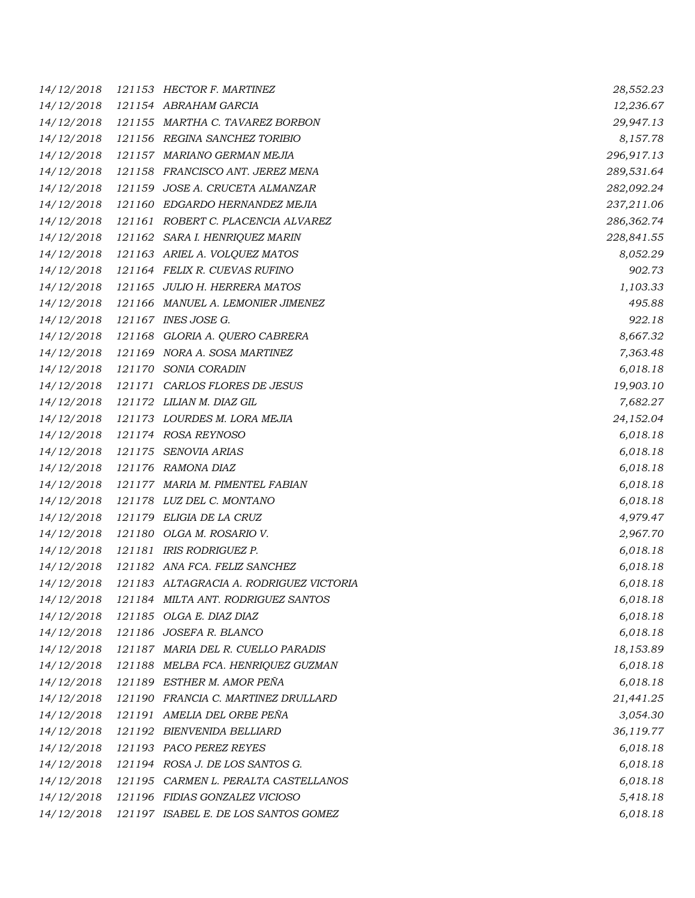*14/12/2018 121153 HECTOR F. MARTINEZ 28,552.23 14/12/2018 121154 ABRAHAM GARCIA 12,236.67 14/12/2018 121155 MARTHA C. TAVAREZ BORBON 29,947.13 14/12/2018 121156 REGINA SANCHEZ TORIBIO 8,157.78 14/12/2018 121157 MARIANO GERMAN MEJIA 296,917.13 14/12/2018 121158 FRANCISCO ANT. JEREZ MENA 289,531.64 14/12/2018 121159 JOSE A. CRUCETA ALMANZAR 282,092.24 14/12/2018 121160 EDGARDO HERNANDEZ MEJIA 237,211.06 14/12/2018 121161 ROBERT C. PLACENCIA ALVAREZ 286,362.74 14/12/2018 121162 SARA I. HENRIQUEZ MARIN 228,841.55 14/12/2018 121163 ARIEL A. VOLQUEZ MATOS 8,052.29 14/12/2018 121164 FELIX R. CUEVAS RUFINO 902.73 14/12/2018 121165 JULIO H. HERRERA MATOS 1,103.33 14/12/2018 121166 MANUEL A. LEMONIER JIMENEZ 495.88 14/12/2018 121167 INES JOSE G. 922.18 14/12/2018 121168 GLORIA A. QUERO CABRERA 8,667.32 14/12/2018 121169 NORA A. SOSA MARTINEZ 7,363.48 14/12/2018 121170 SONIA CORADIN 6,018.18 14/12/2018 121171 CARLOS FLORES DE JESUS 19,903.10 14/12/2018 121172 LILIAN M. DIAZ GIL 7,682.27 14/12/2018 121173 LOURDES M. LORA MEJIA 24,152.04 14/12/2018 121174 ROSA REYNOSO 6,018.18 14/12/2018 121175 SENOVIA ARIAS 6,018.18 14/12/2018 121176 RAMONA DIAZ 6,018.18 14/12/2018 121177 MARIA M. PIMENTEL FABIAN 6,018.18 14/12/2018 121178 LUZ DEL C. MONTANO 6,018.18 14/12/2018 121179 ELIGIA DE LA CRUZ 4,979.47 14/12/2018 121180 OLGA M. ROSARIO V. 2,967.70 14/12/2018 121181 IRIS RODRIGUEZ P. 6,018.18 14/12/2018 121182 ANA FCA. FELIZ SANCHEZ 6,018.18 14/12/2018 121183 ALTAGRACIA A. RODRIGUEZ VICTORIA 6,018.18 14/12/2018 121184 MILTA ANT. RODRIGUEZ SANTOS 6,018.18 14/12/2018 121185 OLGA E. DIAZ DIAZ 6,018.18 14/12/2018 121186 JOSEFA R. BLANCO 6,018.18 14/12/2018 121187 MARIA DEL R. CUELLO PARADIS 18,153.89 14/12/2018 121188 MELBA FCA. HENRIQUEZ GUZMAN 6,018.18 14/12/2018 121189 ESTHER M. AMOR PEÑA 6,018.18 14/12/2018 121190 FRANCIA C. MARTINEZ DRULLARD 21,441.25 14/12/2018 121191 AMELIA DEL ORBE PEÑA 3,054.30 14/12/2018 121192 BIENVENIDA BELLIARD 36,119.77 14/12/2018 121193 PACO PEREZ REYES 6,018.18 14/12/2018 121194 ROSA J. DE LOS SANTOS G. 6,018.18 14/12/2018 121195 CARMEN L. PERALTA CASTELLANOS 6,018.18 14/12/2018 121196 FIDIAS GONZALEZ VICIOSO 5,418.18 14/12/2018 121197 ISABEL E. DE LOS SANTOS GOMEZ 6,018.18*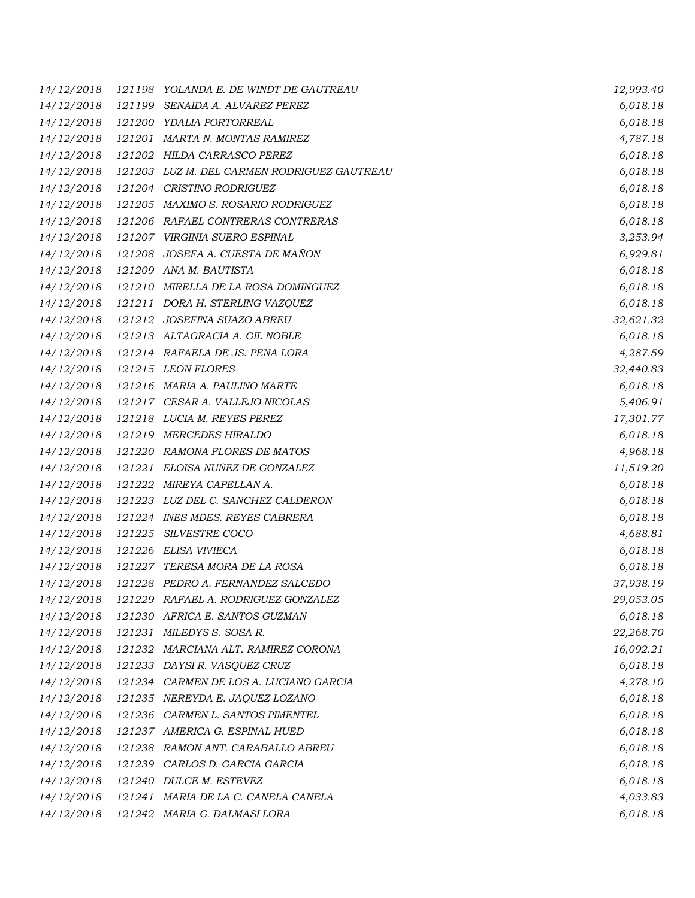| 14/12/2018 |        | 121198 YOLANDA E. DE WINDT DE GAUTREAU      | 12,993.40 |
|------------|--------|---------------------------------------------|-----------|
| 14/12/2018 |        | 121199 SENAIDA A. ALVAREZ PEREZ             | 6,018.18  |
| 14/12/2018 |        | 121200 YDALIA PORTORREAL                    | 6,018.18  |
| 14/12/2018 |        | 121201 MARTA N. MONTAS RAMIREZ              | 4,787.18  |
| 14/12/2018 |        | 121202 HILDA CARRASCO PEREZ                 | 6,018.18  |
| 14/12/2018 |        | 121203 LUZ M. DEL CARMEN RODRIGUEZ GAUTREAU | 6,018.18  |
| 14/12/2018 |        | 121204 CRISTINO RODRIGUEZ                   | 6,018.18  |
| 14/12/2018 |        | 121205 MAXIMO S. ROSARIO RODRIGUEZ          | 6,018.18  |
| 14/12/2018 |        | 121206 RAFAEL CONTRERAS CONTRERAS           | 6,018.18  |
| 14/12/2018 |        | 121207 VIRGINIA SUERO ESPINAL               | 3,253.94  |
| 14/12/2018 |        | 121208 JOSEFA A. CUESTA DE MAÑON            | 6,929.81  |
| 14/12/2018 |        | 121209 ANA M. BAUTISTA                      | 6,018.18  |
| 14/12/2018 |        | 121210 MIRELLA DE LA ROSA DOMINGUEZ         | 6,018.18  |
| 14/12/2018 |        | 121211 DORA H. STERLING VAZQUEZ             | 6,018.18  |
| 14/12/2018 |        | 121212 JOSEFINA SUAZO ABREU                 | 32,621.32 |
| 14/12/2018 |        | 121213 ALTAGRACIA A. GIL NOBLE              | 6,018.18  |
| 14/12/2018 |        | 121214 RAFAELA DE JS. PEÑA LORA             | 4,287.59  |
| 14/12/2018 |        | 121215 LEON FLORES                          | 32,440.83 |
| 14/12/2018 |        | 121216 MARIA A. PAULINO MARTE               | 6,018.18  |
| 14/12/2018 |        | 121217 CESAR A. VALLEJO NICOLAS             | 5,406.91  |
| 14/12/2018 |        | 121218 LUCIA M. REYES PEREZ                 | 17,301.77 |
| 14/12/2018 |        | 121219 MERCEDES HIRALDO                     | 6,018.18  |
| 14/12/2018 |        | 121220 RAMONA FLORES DE MATOS               | 4,968.18  |
| 14/12/2018 |        | 121221 ELOISA NUÑEZ DE GONZALEZ             | 11,519.20 |
| 14/12/2018 |        | 121222 MIREYA CAPELLAN A.                   | 6,018.18  |
| 14/12/2018 |        | 121223 LUZ DEL C. SANCHEZ CALDERON          | 6,018.18  |
| 14/12/2018 |        | 121224 INES MDES. REYES CABRERA             | 6,018.18  |
| 14/12/2018 | 121225 | SILVESTRE COCO                              | 4,688.81  |
| 14/12/2018 |        | 121226 ELISA VIVIECA                        | 6,018.18  |
| 14/12/2018 |        | 121227 TERESA MORA DE LA ROSA               | 6,018.18  |
| 14/12/2018 |        | 121228 PEDRO A. FERNANDEZ SALCEDO           | 37,938.19 |
| 14/12/2018 |        | 121229 RAFAEL A. RODRIGUEZ GONZALEZ         | 29,053.05 |
| 14/12/2018 |        | 121230 AFRICA E. SANTOS GUZMAN              | 6,018.18  |
| 14/12/2018 |        | 121231 MILEDYS S. SOSA R.                   | 22,268.70 |
| 14/12/2018 |        | 121232 MARCIANA ALT. RAMIREZ CORONA         | 16,092.21 |
| 14/12/2018 |        | 121233 DAYSIR. VASQUEZ CRUZ                 | 6,018.18  |
| 14/12/2018 |        | 121234 CARMEN DE LOS A. LUCIANO GARCIA      | 4,278.10  |
| 14/12/2018 |        | 121235 NEREYDA E. JAQUEZ LOZANO             | 6,018.18  |
| 14/12/2018 |        | 121236 CARMEN L. SANTOS PIMENTEL            | 6,018.18  |
| 14/12/2018 |        | 121237 AMERICA G. ESPINAL HUED              | 6,018.18  |
| 14/12/2018 |        | 121238 RAMON ANT. CARABALLO ABREU           | 6,018.18  |
| 14/12/2018 |        | 121239 CARLOS D. GARCIA GARCIA              | 6,018.18  |
| 14/12/2018 |        | 121240 DULCE M. ESTEVEZ                     | 6,018.18  |
| 14/12/2018 |        | 121241 MARIA DE LA C. CANELA CANELA         | 4,033.83  |
| 14/12/2018 |        | 121242 MARIA G. DALMASI LORA                | 6,018.18  |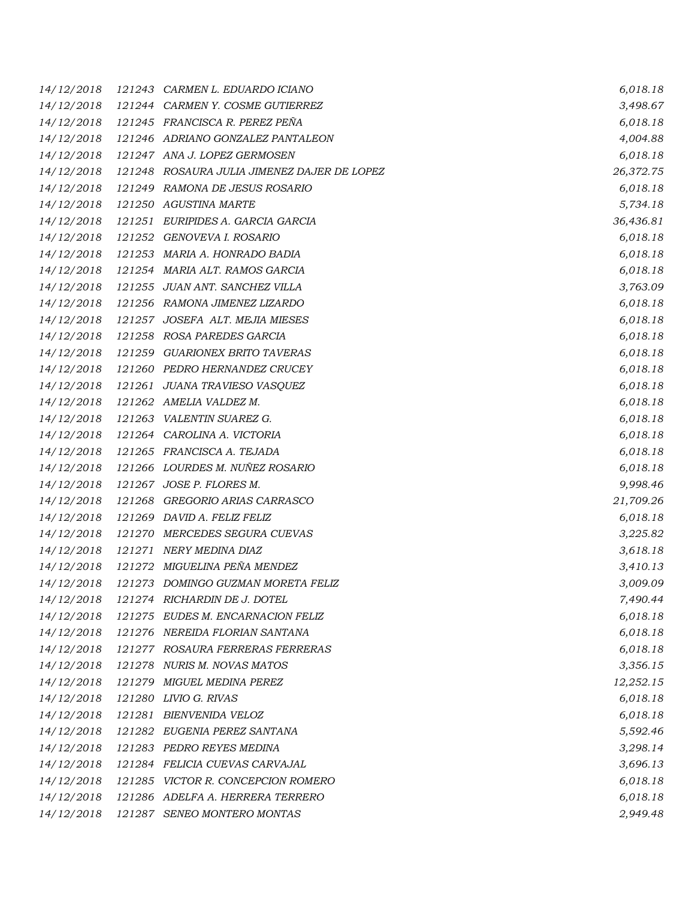| 14/12/2018 |        | 121243 CARMEN L. EDUARDO ICIANO             | 6,018.18  |
|------------|--------|---------------------------------------------|-----------|
| 14/12/2018 |        | 121244 CARMEN Y. COSME GUTIERREZ            | 3,498.67  |
| 14/12/2018 |        | 121245 FRANCISCA R. PEREZ PEÑA              | 6,018.18  |
| 14/12/2018 |        | 121246 ADRIANO GONZALEZ PANTALEON           | 4,004.88  |
| 14/12/2018 |        | 121247 ANA J. LOPEZ GERMOSEN                | 6,018.18  |
| 14/12/2018 |        | 121248 ROSAURA JULIA JIMENEZ DAJER DE LOPEZ | 26,372.75 |
| 14/12/2018 |        | 121249 RAMONA DE JESUS ROSARIO              | 6,018.18  |
| 14/12/2018 |        | 121250 AGUSTINA MARTE                       | 5,734.18  |
| 14/12/2018 |        | 121251 EURIPIDES A. GARCIA GARCIA           | 36,436.81 |
| 14/12/2018 |        | 121252 GENOVEVA I. ROSARIO                  | 6,018.18  |
| 14/12/2018 | 121253 | MARIA A. HONRADO BADIA                      | 6,018.18  |
| 14/12/2018 |        | 121254 MARIA ALT. RAMOS GARCIA              | 6,018.18  |
| 14/12/2018 |        | 121255 JUAN ANT. SANCHEZ VILLA              | 3,763.09  |
| 14/12/2018 |        | 121256 RAMONA JIMENEZ LIZARDO               | 6,018.18  |
| 14/12/2018 |        | 121257 JOSEFA ALT. MEJIA MIESES             | 6,018.18  |
| 14/12/2018 |        | 121258 ROSA PAREDES GARCIA                  | 6,018.18  |
| 14/12/2018 |        | 121259 GUARIONEX BRITO TAVERAS              | 6,018.18  |
| 14/12/2018 |        | 121260 PEDRO HERNANDEZ CRUCEY               | 6,018.18  |
| 14/12/2018 |        | 121261 JUANA TRAVIESO VASQUEZ               | 6,018.18  |
| 14/12/2018 |        | 121262 AMELIA VALDEZ M.                     | 6,018.18  |
| 14/12/2018 |        | 121263 VALENTIN SUAREZ G.                   | 6,018.18  |
| 14/12/2018 |        | 121264 CAROLINA A. VICTORIA                 | 6,018.18  |
| 14/12/2018 |        | 121265 FRANCISCA A. TEJADA                  | 6,018.18  |
| 14/12/2018 |        | 121266 LOURDES M. NUÑEZ ROSARIO             | 6,018.18  |
| 14/12/2018 |        | 121267 JOSE P. FLORES M.                    | 9,998.46  |
| 14/12/2018 |        | 121268 GREGORIO ARIAS CARRASCO              | 21,709.26 |
| 14/12/2018 |        | 121269 DAVID A. FELIZ FELIZ                 | 6,018.18  |
| 14/12/2018 | 121270 | MERCEDES SEGURA CUEVAS                      | 3,225.82  |
| 14/12/2018 |        | 121271 NERY MEDINA DIAZ                     | 3,618.18  |
| 14/12/2018 | 121272 | MIGUELINA PEÑA MENDEZ                       | 3,410.13  |
| 14/12/2018 |        | 121273 DOMINGO GUZMAN MORETA FELIZ          | 3,009.09  |
| 14/12/2018 |        | 121274 RICHARDIN DE J. DOTEL                | 7,490.44  |
| 14/12/2018 |        | 121275 EUDES M. ENCARNACION FELIZ           | 6,018.18  |
| 14/12/2018 |        | 121276 NEREIDA FLORIAN SANTANA              | 6,018.18  |
| 14/12/2018 |        | 121277 ROSAURA FERRERAS FERRERAS            | 6,018.18  |
| 14/12/2018 | 121278 | NURIS M. NOVAS MATOS                        | 3,356.15  |
| 14/12/2018 | 121279 | MIGUEL MEDINA PEREZ                         | 12,252.15 |
| 14/12/2018 |        | 121280 LIVIO G. RIVAS                       | 6,018.18  |
| 14/12/2018 |        | 121281 BIENVENIDA VELOZ                     | 6,018.18  |
| 14/12/2018 |        | 121282 EUGENIA PEREZ SANTANA                | 5,592.46  |
| 14/12/2018 |        | 121283 PEDRO REYES MEDINA                   | 3,298.14  |
| 14/12/2018 |        | 121284 FELICIA CUEVAS CARVAJAL              | 3,696.13  |
| 14/12/2018 |        | 121285 VICTOR R. CONCEPCION ROMERO          | 6,018.18  |
| 14/12/2018 |        | 121286 ADELFA A. HERRERA TERRERO            | 6,018.18  |
| 14/12/2018 |        | 121287 SENEO MONTERO MONTAS                 | 2,949.48  |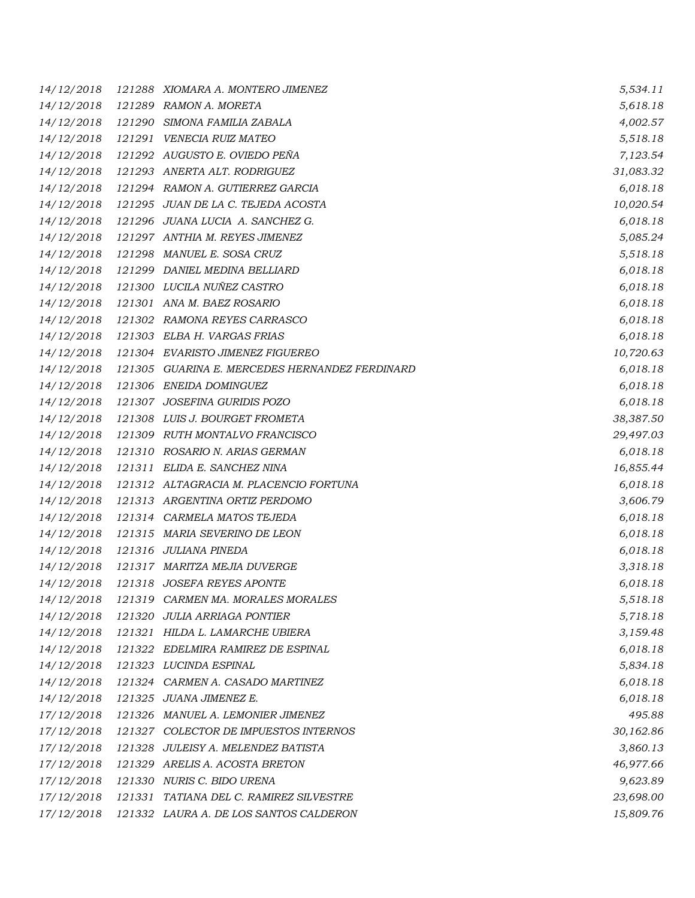| 14/12/2018 |        | 121288 XIOMARA A. MONTERO JIMENEZ              | 5,534.11  |
|------------|--------|------------------------------------------------|-----------|
| 14/12/2018 |        | 121289 RAMON A. MORETA                         | 5,618.18  |
| 14/12/2018 |        | 121290 SIMONA FAMILIA ZABALA                   | 4,002.57  |
| 14/12/2018 |        | 121291 VENECIA RUIZ MATEO                      | 5,518.18  |
| 14/12/2018 |        | 121292 AUGUSTO E. OVIEDO PEÑA                  | 7,123.54  |
| 14/12/2018 |        | 121293 ANERTA ALT. RODRIGUEZ                   | 31,083.32 |
| 14/12/2018 |        | 121294 RAMON A. GUTIERREZ GARCIA               | 6,018.18  |
| 14/12/2018 |        | 121295 JUAN DE LA C. TEJEDA ACOSTA             | 10,020.54 |
| 14/12/2018 |        | 121296 JUANA LUCIA A. SANCHEZ G.               | 6,018.18  |
| 14/12/2018 |        | 121297 ANTHIA M. REYES JIMENEZ                 | 5,085.24  |
| 14/12/2018 |        | 121298 MANUEL E. SOSA CRUZ                     | 5,518.18  |
| 14/12/2018 |        | 121299 DANIEL MEDINA BELLIARD                  | 6,018.18  |
| 14/12/2018 |        | 121300 LUCILA NUÑEZ CASTRO                     | 6,018.18  |
| 14/12/2018 |        | 121301 ANA M. BAEZ ROSARIO                     | 6,018.18  |
| 14/12/2018 |        | 121302 RAMONA REYES CARRASCO                   | 6,018.18  |
| 14/12/2018 |        | 121303 ELBA H. VARGAS FRIAS                    | 6,018.18  |
| 14/12/2018 |        | 121304 EVARISTO JIMENEZ FIGUEREO               | 10,720.63 |
| 14/12/2018 |        | 121305 GUARINA E. MERCEDES HERNANDEZ FERDINARD | 6,018.18  |
| 14/12/2018 |        | 121306 ENEIDA DOMINGUEZ                        | 6,018.18  |
| 14/12/2018 |        | 121307 JOSEFINA GURIDIS POZO                   | 6,018.18  |
| 14/12/2018 |        | 121308 LUIS J. BOURGET FROMETA                 | 38,387.50 |
| 14/12/2018 |        | 121309 RUTH MONTALVO FRANCISCO                 | 29,497.03 |
| 14/12/2018 |        | 121310 ROSARIO N. ARIAS GERMAN                 | 6,018.18  |
| 14/12/2018 |        | 121311 ELIDA E. SANCHEZ NINA                   | 16,855.44 |
| 14/12/2018 |        | 121312 ALTAGRACIA M. PLACENCIO FORTUNA         | 6,018.18  |
| 14/12/2018 |        | 121313 ARGENTINA ORTIZ PERDOMO                 | 3,606.79  |
| 14/12/2018 |        | 121314 CARMELA MATOS TEJEDA                    | 6,018.18  |
| 14/12/2018 |        | 121315 MARIA SEVERINO DE LEON                  | 6,018.18  |
| 14/12/2018 |        | 121316 JULIANA PINEDA                          | 6,018.18  |
| 14/12/2018 |        | 121317 MARITZA MEJIA DUVERGE                   | 3,318.18  |
| 14/12/2018 |        | 121318 JOSEFA REYES APONTE                     | 6,018.18  |
| 14/12/2018 |        | 121319 CARMEN MA. MORALES MORALES              | 5,518.18  |
| 14/12/2018 |        | 121320 JULIA ARRIAGA PONTIER                   | 5,718.18  |
| 14/12/2018 |        | 121321 HILDA L. LAMARCHE UBIERA                | 3,159.48  |
| 14/12/2018 |        | 121322 EDELMIRA RAMIREZ DE ESPINAL             | 6,018.18  |
| 14/12/2018 |        | 121323 LUCINDA ESPINAL                         | 5,834.18  |
| 14/12/2018 |        | 121324 CARMEN A. CASADO MARTINEZ               | 6,018.18  |
| 14/12/2018 |        | 121325 JUANA JIMENEZ E.                        | 6,018.18  |
| 17/12/2018 |        | 121326 MANUEL A. LEMONIER JIMENEZ              | 495.88    |
| 17/12/2018 |        | 121327 COLECTOR DE IMPUESTOS INTERNOS          | 30,162.86 |
| 17/12/2018 |        | 121328 JULEISY A. MELENDEZ BATISTA             | 3,860.13  |
| 17/12/2018 |        | 121329 ARELIS A. ACOSTA BRETON                 | 46,977.66 |
| 17/12/2018 |        | 121330 NURIS C. BIDO URENA                     | 9,623.89  |
| 17/12/2018 | 121331 | TATIANA DEL C. RAMIREZ SILVESTRE               | 23,698.00 |
| 17/12/2018 |        | 121332 LAURA A. DE LOS SANTOS CALDERON         | 15,809.76 |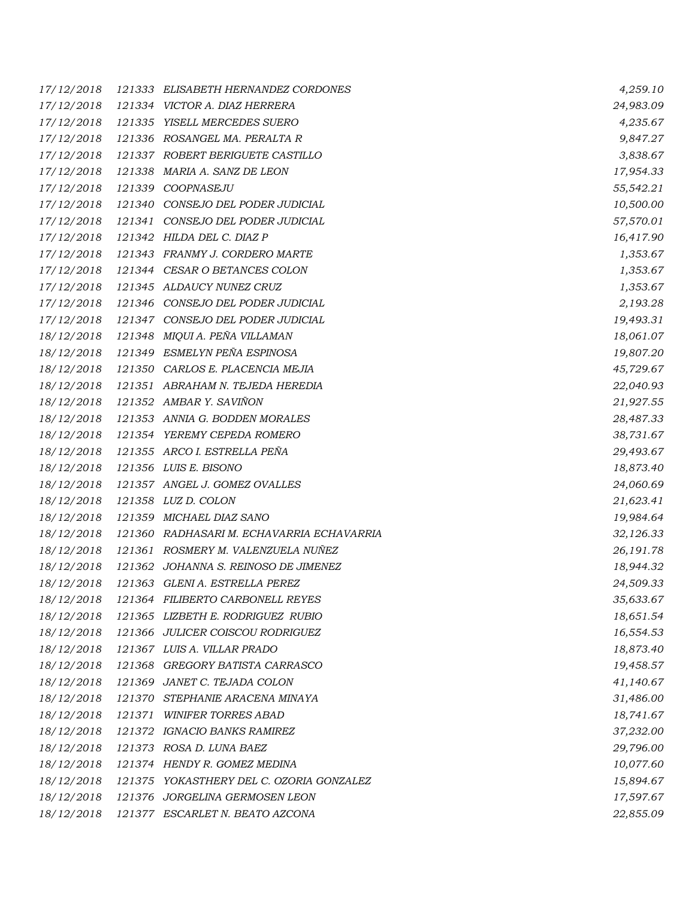| 17/12/2018 |        | 121333 ELISABETH HERNANDEZ CORDONES       | 4,259.10  |
|------------|--------|-------------------------------------------|-----------|
| 17/12/2018 |        | 121334 VICTOR A. DIAZ HERRERA             | 24,983.09 |
| 17/12/2018 |        | 121335 YISELL MERCEDES SUERO              | 4,235.67  |
| 17/12/2018 |        | 121336 ROSANGEL MA. PERALTA R             | 9,847.27  |
| 17/12/2018 |        | 121337 ROBERT BERIGUETE CASTILLO          | 3,838.67  |
| 17/12/2018 |        | 121338 MARIA A. SANZ DE LEON              | 17,954.33 |
| 17/12/2018 |        | 121339 COOPNASEJU                         | 55,542.21 |
| 17/12/2018 |        | 121340 CONSEJO DEL PODER JUDICIAL         | 10,500.00 |
| 17/12/2018 |        | 121341 CONSEJO DEL PODER JUDICIAL         | 57,570.01 |
| 17/12/2018 |        | 121342 HILDA DEL C. DIAZ P                | 16,417.90 |
| 17/12/2018 |        | 121343 FRANMY J. CORDERO MARTE            | 1,353.67  |
| 17/12/2018 |        | 121344 CESAR O BETANCES COLON             | 1,353.67  |
| 17/12/2018 |        | 121345 ALDAUCY NUNEZ CRUZ                 | 1,353.67  |
| 17/12/2018 |        | 121346 CONSEJO DEL PODER JUDICIAL         | 2,193.28  |
| 17/12/2018 |        | 121347 CONSEJO DEL PODER JUDICIAL         | 19,493.31 |
| 18/12/2018 |        | 121348 MIQUI A. PEÑA VILLAMAN             | 18,061.07 |
| 18/12/2018 |        | 121349 ESMELYN PEÑA ESPINOSA              | 19,807.20 |
| 18/12/2018 |        | 121350 CARLOS E. PLACENCIA MEJIA          | 45,729.67 |
| 18/12/2018 |        | 121351 ABRAHAM N. TEJEDA HEREDIA          | 22,040.93 |
| 18/12/2018 |        | 121352 AMBAR Y. SAVIÑON                   | 21,927.55 |
| 18/12/2018 |        | 121353 ANNIA G. BODDEN MORALES            | 28,487.33 |
| 18/12/2018 |        | 121354 YEREMY CEPEDA ROMERO               | 38,731.67 |
| 18/12/2018 |        | 121355 ARCO I. ESTRELLA PEÑA              | 29,493.67 |
| 18/12/2018 |        | 121356 LUIS E. BISONO                     | 18,873.40 |
| 18/12/2018 |        | 121357 ANGEL J. GOMEZ OVALLES             | 24,060.69 |
| 18/12/2018 |        | 121358 LUZ D. COLON                       | 21,623.41 |
| 18/12/2018 |        | 121359 MICHAEL DIAZ SANO                  | 19,984.64 |
| 18/12/2018 |        | 121360 RADHASARI M. ECHAVARRIA ECHAVARRIA | 32,126.33 |
| 18/12/2018 |        | 121361 ROSMERY M. VALENZUELA NUÑEZ        | 26,191.78 |
| 18/12/2018 |        | 121362 JOHANNA S. REINOSO DE JIMENEZ      | 18,944.32 |
| 18/12/2018 |        | 121363 GLENIA. ESTRELLA PEREZ             | 24,509.33 |
| 18/12/2018 |        | 121364 FILIBERTO CARBONELL REYES          | 35,633.67 |
| 18/12/2018 |        | 121365 LIZBETH E. RODRIGUEZ RUBIO         | 18,651.54 |
| 18/12/2018 |        | 121366 JULICER COISCOU RODRIGUEZ          | 16,554.53 |
| 18/12/2018 |        | 121367 LUIS A. VILLAR PRADO               | 18,873.40 |
| 18/12/2018 |        | 121368 GREGORY BATISTA CARRASCO           | 19,458.57 |
| 18/12/2018 |        | 121369 JANET C. TEJADA COLON              | 41,140.67 |
| 18/12/2018 |        | 121370 STEPHANIE ARACENA MINAYA           | 31,486.00 |
| 18/12/2018 |        | 121371 WINIFER TORRES ABAD                | 18,741.67 |
| 18/12/2018 | 121372 | IGNACIO BANKS RAMIREZ                     | 37,232.00 |
| 18/12/2018 |        | 121373 ROSA D. LUNA BAEZ                  | 29,796.00 |
| 18/12/2018 |        | 121374 HENDY R. GOMEZ MEDINA              | 10,077.60 |
| 18/12/2018 |        | 121375 YOKASTHERY DEL C. OZORIA GONZALEZ  | 15,894.67 |
| 18/12/2018 |        | 121376 JORGELINA GERMOSEN LEON            | 17,597.67 |
| 18/12/2018 |        | 121377 ESCARLET N. BEATO AZCONA           | 22,855.09 |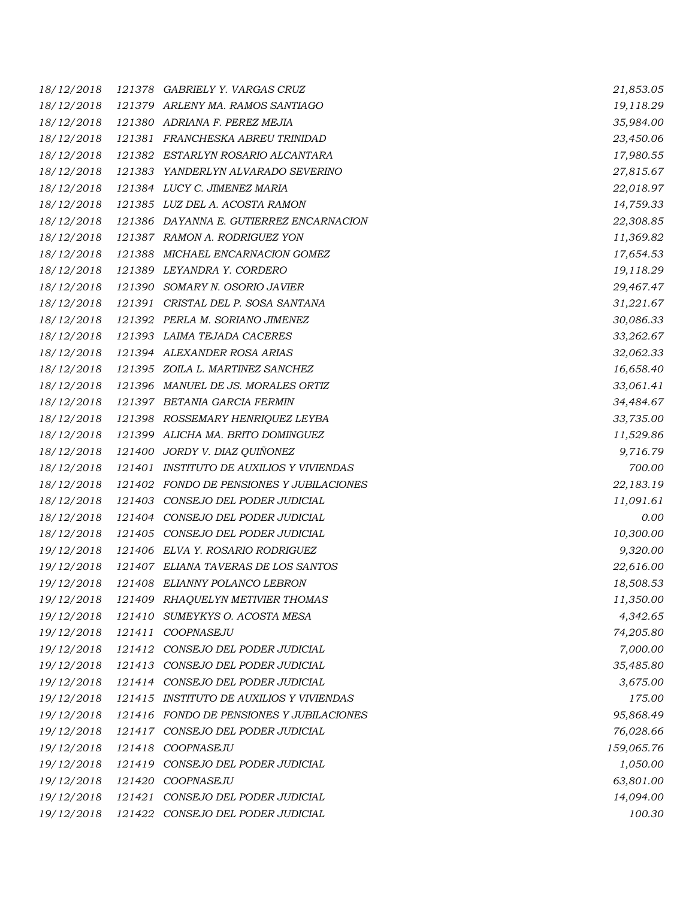| 18/12/2018 |        | 121378 GABRIELY Y. VARGAS CRUZ           | 21,853.05  |
|------------|--------|------------------------------------------|------------|
| 18/12/2018 |        | 121379 ARLENY MA. RAMOS SANTIAGO         | 19,118.29  |
| 18/12/2018 |        | 121380 ADRIANA F. PEREZ MEJIA            | 35,984.00  |
| 18/12/2018 |        | 121381 FRANCHESKA ABREU TRINIDAD         | 23,450.06  |
| 18/12/2018 |        | 121382 ESTARLYN ROSARIO ALCANTARA        | 17,980.55  |
| 18/12/2018 |        | 121383 YANDERLYN ALVARADO SEVERINO       | 27,815.67  |
| 18/12/2018 |        | 121384 LUCY C. JIMENEZ MARIA             | 22,018.97  |
| 18/12/2018 |        | 121385 LUZ DEL A. ACOSTA RAMON           | 14,759.33  |
| 18/12/2018 |        | 121386 DAYANNA E. GUTIERREZ ENCARNACION  | 22,308.85  |
| 18/12/2018 |        | 121387 RAMON A. RODRIGUEZ YON            | 11,369.82  |
| 18/12/2018 |        | 121388 MICHAEL ENCARNACION GOMEZ         | 17,654.53  |
| 18/12/2018 |        | 121389 LEYANDRA Y. CORDERO               | 19,118.29  |
| 18/12/2018 |        | 121390 SOMARY N. OSORIO JAVIER           | 29,467.47  |
| 18/12/2018 |        | 121391 CRISTAL DEL P. SOSA SANTANA       | 31,221.67  |
| 18/12/2018 |        | 121392 PERLA M. SORIANO JIMENEZ          | 30,086.33  |
| 18/12/2018 |        | 121393 LAIMA TEJADA CACERES              | 33,262.67  |
| 18/12/2018 |        | 121394 ALEXANDER ROSA ARIAS              | 32,062.33  |
| 18/12/2018 |        | 121395 ZOILA L. MARTINEZ SANCHEZ         | 16,658.40  |
| 18/12/2018 |        | 121396 MANUEL DE JS. MORALES ORTIZ       | 33,061.41  |
| 18/12/2018 |        | 121397 BETANIA GARCIA FERMIN             | 34,484.67  |
| 18/12/2018 |        | 121398 ROSSEMARY HENRIQUEZ LEYBA         | 33,735.00  |
| 18/12/2018 |        | 121399 ALICHA MA. BRITO DOMINGUEZ        | 11,529.86  |
| 18/12/2018 |        | 121400 JORDY V. DIAZ QUIÑONEZ            | 9,716.79   |
| 18/12/2018 |        | 121401 INSTITUTO DE AUXILIOS Y VIVIENDAS | 700.00     |
| 18/12/2018 |        | 121402 FONDO DE PENSIONES Y JUBILACIONES | 22,183.19  |
| 18/12/2018 |        | 121403 CONSEJO DEL PODER JUDICIAL        | 11,091.61  |
| 18/12/2018 |        | 121404 CONSEJO DEL PODER JUDICIAL        | 0.00       |
| 18/12/2018 |        | 121405 CONSEJO DEL PODER JUDICIAL        | 10,300.00  |
| 19/12/2018 |        | 121406 ELVA Y. ROSARIO RODRIGUEZ         | 9,320.00   |
| 19/12/2018 |        | 121407 ELIANA TAVERAS DE LOS SANTOS      | 22,616.00  |
| 19/12/2018 |        | 121408 ELIANNY POLANCO LEBRON            | 18,508.53  |
| 19/12/2018 | 121409 | RHAQUELYN METIVIER THOMAS                | 11,350.00  |
| 19/12/2018 | 121410 | SUMEYKYS O. ACOSTA MESA                  | 4,342.65   |
| 19/12/2018 | 121411 | COOPNASEJU                               | 74,205.80  |
| 19/12/2018 | 121412 | CONSEJO DEL PODER JUDICIAL               | 7,000.00   |
| 19/12/2018 | 121413 | CONSEJO DEL PODER JUDICIAL               | 35,485.80  |
| 19/12/2018 | 121414 | CONSEJO DEL PODER JUDICIAL               | 3,675.00   |
| 19/12/2018 |        | 121415 INSTITUTO DE AUXILIOS Y VIVIENDAS | 175.00     |
| 19/12/2018 |        | 121416 FONDO DE PENSIONES Y JUBILACIONES | 95,868.49  |
| 19/12/2018 | 121417 | CONSEJO DEL PODER JUDICIAL               | 76,028.66  |
| 19/12/2018 | 121418 | COOPNASEJU                               | 159,065.76 |
| 19/12/2018 | 121419 | CONSEJO DEL PODER JUDICIAL               | 1,050.00   |
| 19/12/2018 | 121420 | COOPNASEJU                               | 63,801.00  |
| 19/12/2018 | 121421 | CONSEJO DEL PODER JUDICIAL               | 14,094.00  |
| 19/12/2018 |        | 121422 CONSEJO DEL PODER JUDICIAL        | 100.30     |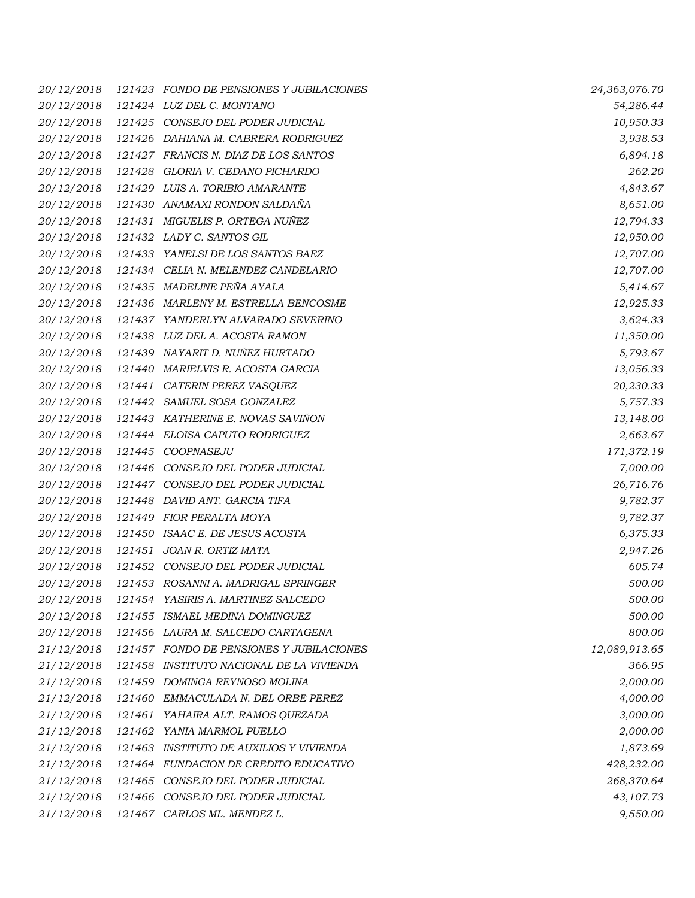| 20/12/2018 |        | 121423 FONDO DE PENSIONES Y JUBILACIONES | 24,363,076.70 |
|------------|--------|------------------------------------------|---------------|
| 20/12/2018 |        | 121424 LUZ DEL C. MONTANO                | 54,286.44     |
| 20/12/2018 |        | 121425 CONSEJO DEL PODER JUDICIAL        | 10,950.33     |
| 20/12/2018 |        | 121426 DAHIANA M. CABRERA RODRIGUEZ      | 3,938.53      |
| 20/12/2018 |        | 121427 FRANCIS N. DIAZ DE LOS SANTOS     | 6,894.18      |
| 20/12/2018 |        | 121428 GLORIA V. CEDANO PICHARDO         | 262.20        |
| 20/12/2018 |        | 121429 LUIS A. TORIBIO AMARANTE          | 4,843.67      |
| 20/12/2018 |        | 121430 ANAMAXI RONDON SALDAÑA            | 8,651.00      |
| 20/12/2018 |        | 121431 MIGUELIS P. ORTEGA NUÑEZ          | 12,794.33     |
| 20/12/2018 |        | 121432 LADY C. SANTOS GIL                | 12,950.00     |
| 20/12/2018 |        | 121433 YANELSI DE LOS SANTOS BAEZ        | 12,707.00     |
| 20/12/2018 |        | 121434 CELIA N. MELENDEZ CANDELARIO      | 12,707.00     |
| 20/12/2018 |        | 121435 MADELINE PEÑA AYALA               | 5,414.67      |
| 20/12/2018 |        | 121436 MARLENY M. ESTRELLA BENCOSME      | 12,925.33     |
| 20/12/2018 |        | 121437 YANDERLYN ALVARADO SEVERINO       | 3,624.33      |
| 20/12/2018 |        | 121438 LUZ DEL A. ACOSTA RAMON           | 11,350.00     |
| 20/12/2018 |        | 121439 NAYARIT D. NUÑEZ HURTADO          | 5,793.67      |
| 20/12/2018 |        | 121440 MARIELVIS R. ACOSTA GARCIA        | 13,056.33     |
| 20/12/2018 |        | 121441 CATERIN PEREZ VASQUEZ             | 20,230.33     |
| 20/12/2018 |        | 121442 SAMUEL SOSA GONZALEZ              | 5,757.33      |
| 20/12/2018 |        | 121443 KATHERINE E. NOVAS SAVIÑON        | 13,148.00     |
| 20/12/2018 |        | 121444 ELOISA CAPUTO RODRIGUEZ           | 2,663.67      |
| 20/12/2018 |        | 121445 COOPNASEJU                        | 171,372.19    |
| 20/12/2018 |        | 121446 CONSEJO DEL PODER JUDICIAL        | 7,000.00      |
| 20/12/2018 |        | 121447 CONSEJO DEL PODER JUDICIAL        | 26,716.76     |
| 20/12/2018 |        | 121448 DAVID ANT. GARCIA TIFA            | 9,782.37      |
| 20/12/2018 |        | 121449 FIOR PERALTA MOYA                 | 9,782.37      |
| 20/12/2018 |        | 121450 ISAAC E. DE JESUS ACOSTA          | 6,375.33      |
| 20/12/2018 |        | 121451 JOAN R. ORTIZ MATA                | 2,947.26      |
| 20/12/2018 |        | 121452 CONSEJO DEL PODER JUDICIAL        | 605.74        |
| 20/12/2018 |        | 121453 ROSANNI A. MADRIGAL SPRINGER      | 500.00        |
| 20/12/2018 |        | 121454 YASIRIS A. MARTINEZ SALCEDO       | 500.00        |
| 20/12/2018 |        | 121455 ISMAEL MEDINA DOMINGUEZ           | 500.00        |
| 20/12/2018 |        | 121456 LAURA M. SALCEDO CARTAGENA        | 800.00        |
| 21/12/2018 |        | 121457 FONDO DE PENSIONES Y JUBILACIONES | 12,089,913.65 |
| 21/12/2018 |        | 121458 INSTITUTO NACIONAL DE LA VIVIENDA | 366.95        |
| 21/12/2018 |        | 121459 DOMINGA REYNOSO MOLINA            | 2,000.00      |
| 21/12/2018 | 121460 | EMMACULADA N. DEL ORBE PEREZ             | 4,000.00      |
| 21/12/2018 |        | 121461 YAHAIRA ALT. RAMOS QUEZADA        | 3,000.00      |
| 21/12/2018 |        | 121462 YANIA MARMOL PUELLO               | 2,000.00      |
| 21/12/2018 |        | 121463 INSTITUTO DE AUXILIOS Y VIVIENDA  | 1,873.69      |
| 21/12/2018 |        | 121464 FUNDACION DE CREDITO EDUCATIVO    | 428,232.00    |
| 21/12/2018 |        | 121465 CONSEJO DEL PODER JUDICIAL        | 268,370.64    |
| 21/12/2018 |        | 121466 CONSEJO DEL PODER JUDICIAL        | 43,107.73     |
| 21/12/2018 |        | 121467 CARLOS ML. MENDEZ L.              | 9,550.00      |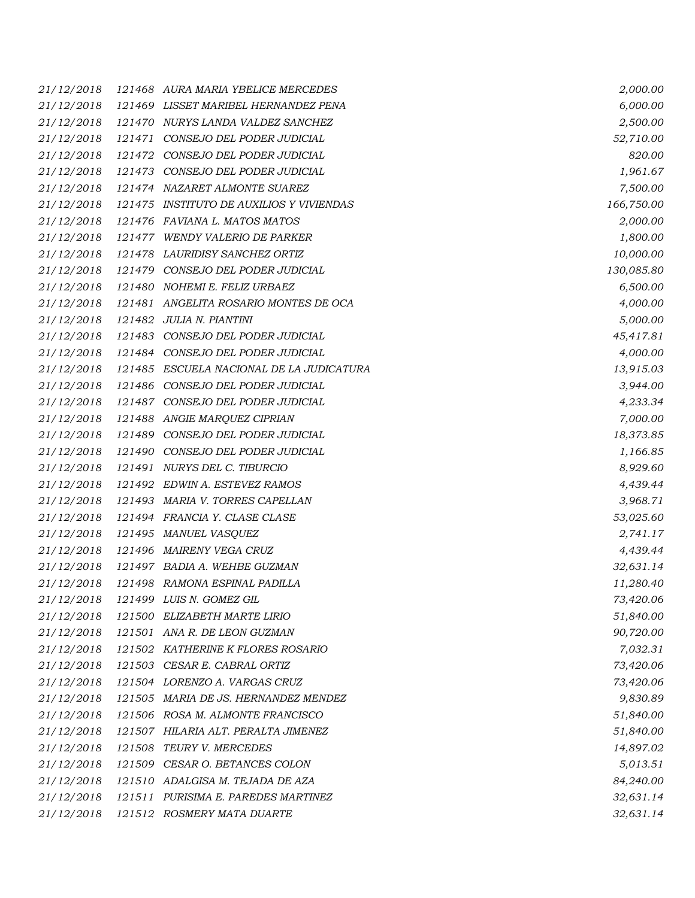| 21/12/2018 |        | 121468 AURA MARIA YBELICE MERCEDES       | 2,000.00   |
|------------|--------|------------------------------------------|------------|
| 21/12/2018 |        | 121469 LISSET MARIBEL HERNANDEZ PENA     | 6,000.00   |
| 21/12/2018 |        | 121470 NURYS LANDA VALDEZ SANCHEZ        | 2,500.00   |
| 21/12/2018 | 121471 | CONSEJO DEL PODER JUDICIAL               | 52,710.00  |
| 21/12/2018 |        | 121472 CONSEJO DEL PODER JUDICIAL        | 820.00     |
| 21/12/2018 |        | 121473 CONSEJO DEL PODER JUDICIAL        | 1,961.67   |
| 21/12/2018 |        | 121474 NAZARET ALMONTE SUAREZ            | 7,500.00   |
| 21/12/2018 |        | 121475 INSTITUTO DE AUXILIOS Y VIVIENDAS | 166,750.00 |
| 21/12/2018 |        | 121476 FAVIANA L. MATOS MATOS            | 2,000.00   |
| 21/12/2018 |        | 121477 WENDY VALERIO DE PARKER           | 1,800.00   |
| 21/12/2018 | 121478 | LAURIDISY SANCHEZ ORTIZ                  | 10,000.00  |
| 21/12/2018 |        | 121479 CONSEJO DEL PODER JUDICIAL        | 130,085.80 |
| 21/12/2018 |        | 121480 NOHEMI E. FELIZ URBAEZ            | 6,500.00   |
| 21/12/2018 |        | 121481 ANGELITA ROSARIO MONTES DE OCA    | 4,000.00   |
| 21/12/2018 |        | 121482 JULIA N. PIANTINI                 | 5,000.00   |
| 21/12/2018 |        | 121483 CONSEJO DEL PODER JUDICIAL        | 45,417.81  |
| 21/12/2018 |        | 121484 CONSEJO DEL PODER JUDICIAL        | 4,000.00   |
| 21/12/2018 |        | 121485 ESCUELA NACIONAL DE LA JUDICATURA | 13,915.03  |
| 21/12/2018 |        | 121486 CONSEJO DEL PODER JUDICIAL        | 3,944.00   |
| 21/12/2018 |        | 121487 CONSEJO DEL PODER JUDICIAL        | 4,233.34   |
| 21/12/2018 |        | 121488 ANGIE MARQUEZ CIPRIAN             | 7,000.00   |
| 21/12/2018 |        | 121489 CONSEJO DEL PODER JUDICIAL        | 18,373.85  |
| 21/12/2018 |        | 121490 CONSEJO DEL PODER JUDICIAL        | 1,166.85   |
| 21/12/2018 |        | 121491 NURYS DEL C. TIBURCIO             | 8,929.60   |
| 21/12/2018 |        | 121492 EDWIN A. ESTEVEZ RAMOS            | 4,439.44   |
| 21/12/2018 |        | 121493 MARIA V. TORRES CAPELLAN          | 3,968.71   |
| 21/12/2018 |        | 121494 FRANCIA Y. CLASE CLASE            | 53,025.60  |
| 21/12/2018 |        | 121495 MANUEL VASQUEZ                    | 2,741.17   |
| 21/12/2018 |        | 121496 MAIRENY VEGA CRUZ                 | 4,439.44   |
| 21/12/2018 |        | 121497 BADIA A. WEHBE GUZMAN             | 32,631.14  |
| 21/12/2018 |        | 121498 RAMONA ESPINAL PADILLA            | 11,280.40  |
| 21/12/2018 |        | 121499 LUIS N. GOMEZ GIL                 | 73,420.06  |
| 21/12/2018 |        | 121500 ELIZABETH MARTE LIRIO             | 51,840.00  |
| 21/12/2018 |        | 121501 ANA R. DE LEON GUZMAN             | 90,720.00  |
| 21/12/2018 |        | 121502 KATHERINE K FLORES ROSARIO        | 7,032.31   |
| 21/12/2018 |        | 121503 CESAR E. CABRAL ORTIZ             | 73,420.06  |
| 21/12/2018 |        | 121504 LORENZO A. VARGAS CRUZ            | 73,420.06  |
| 21/12/2018 |        | 121505 MARIA DE JS. HERNANDEZ MENDEZ     | 9,830.89   |
| 21/12/2018 |        | 121506 ROSA M. ALMONTE FRANCISCO         | 51,840.00  |
| 21/12/2018 |        | 121507 HILARIA ALT. PERALTA JIMENEZ      | 51,840.00  |
| 21/12/2018 |        | 121508 TEURY V. MERCEDES                 | 14,897.02  |
| 21/12/2018 |        | 121509 CESAR O. BETANCES COLON           | 5,013.51   |
| 21/12/2018 |        | 121510 ADALGISA M. TEJADA DE AZA         | 84,240.00  |
| 21/12/2018 |        | 121511 PURISIMA E. PAREDES MARTINEZ      | 32,631.14  |
| 21/12/2018 |        | 121512 ROSMERY MATA DUARTE               | 32,631.14  |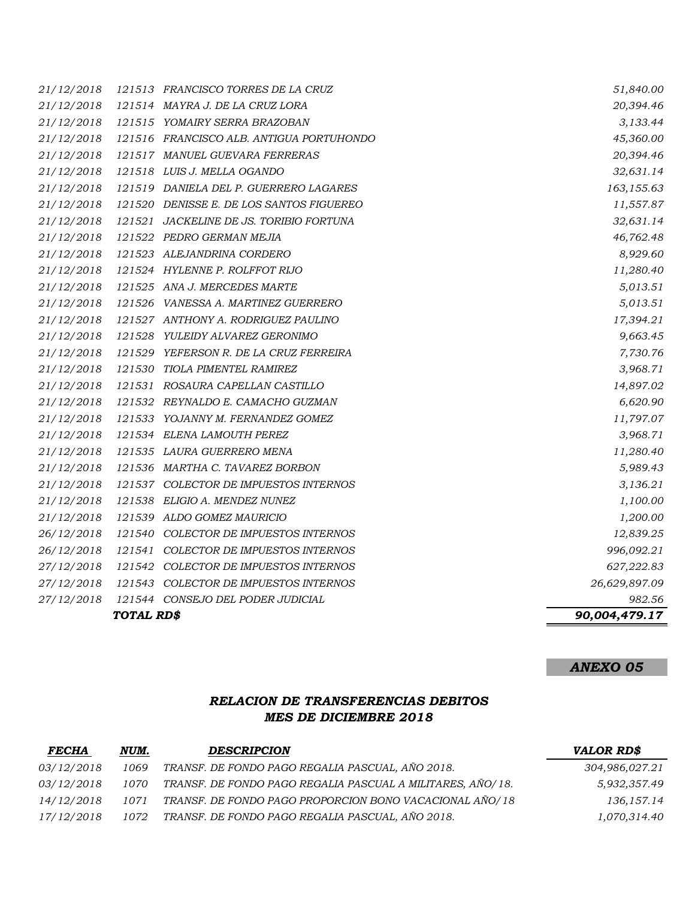| <i>21/12/2018</i> |            | 121513 FRANCISCO TORRES DE LA CRUZ       | 51,840.00     |
|-------------------|------------|------------------------------------------|---------------|
| 21/12/2018        |            | 121514 MAYRA J. DE LA CRUZ LORA          | 20,394.46     |
| 21/12/2018        |            | 121515 YOMAIRY SERRA BRAZOBAN            | 3,133.44      |
| 21/12/2018        |            | 121516 FRANCISCO ALB. ANTIGUA PORTUHONDO | 45,360.00     |
| 21/12/2018        |            | 121517 MANUEL GUEVARA FERRERAS           | 20,394.46     |
| 21/12/2018        |            | 121518 LUIS J. MELLA OGANDO              | 32,631.14     |
| 21/12/2018        |            | 121519 DANIELA DEL P. GUERRERO LAGARES   | 163,155.63    |
| 21/12/2018        |            | 121520 DENISSE E. DE LOS SANTOS FIGUEREO | 11,557.87     |
| 21/12/2018        | 121521     | JACKELINE DE JS. TORIBIO FORTUNA         | 32,631.14     |
| 21/12/2018        |            | 121522 PEDRO GERMAN MEJIA                | 46,762.48     |
| 21/12/2018        |            | 121523 ALEJANDRINA CORDERO               | 8,929.60      |
| 21/12/2018        |            | 121524 HYLENNE P. ROLFFOT RIJO           | 11,280.40     |
| 21/12/2018        |            | 121525 ANA J. MERCEDES MARTE             | 5,013.51      |
| 21/12/2018        |            | 121526 VANESSA A. MARTINEZ GUERRERO      | 5,013.51      |
| 21/12/2018        |            | 121527 ANTHONY A. RODRIGUEZ PAULINO      | 17,394.21     |
| 21/12/2018        |            | 121528 YULEIDY ALVAREZ GERONIMO          | 9,663.45      |
| 21/12/2018        | 121529     | YEFERSON R. DE LA CRUZ FERREIRA          | 7,730.76      |
| 21/12/2018        | 121530     | TIOLA PIMENTEL RAMIREZ                   | 3,968.71      |
| 21/12/2018        |            | 121531 ROSAURA CAPELLAN CASTILLO         | 14,897.02     |
| 21/12/2018        |            | 121532 REYNALDO E. CAMACHO GUZMAN        | 6,620.90      |
| 21/12/2018        |            | 121533 YOJANNY M. FERNANDEZ GOMEZ        | 11,797.07     |
| 21/12/2018        |            | 121534 ELENA LAMOUTH PEREZ               | 3,968.71      |
| 21/12/2018        |            | 121535 LAURA GUERRERO MENA               | 11,280.40     |
| 21/12/2018        |            | 121536 MARTHA C. TAVAREZ BORBON          | 5,989.43      |
| 21/12/2018        |            | 121537 COLECTOR DE IMPUESTOS INTERNOS    | 3,136.21      |
| 21/12/2018        |            | 121538 ELIGIO A. MENDEZ NUNEZ            | 1,100.00      |
| 21/12/2018        |            | 121539 ALDO GOMEZ MAURICIO               | 1,200.00      |
| 26/12/2018        | 121540     | COLECTOR DE IMPUESTOS INTERNOS           | 12,839.25     |
| 26/12/2018        |            | 121541 COLECTOR DE IMPUESTOS INTERNOS    | 996,092.21    |
| 27/12/2018        |            | 121542 COLECTOR DE IMPUESTOS INTERNOS    | 627,222.83    |
| 27/12/2018        |            | 121543 COLECTOR DE IMPUESTOS INTERNOS    | 26,629,897.09 |
| 27/12/2018        |            | 121544 CONSEJO DEL PODER JUDICIAL        | 982.56        |
|                   | TOTAL RD\$ |                                          | 90,004,479.17 |

### *ANEXO 05*

### *RELACION DE TRANSFERENCIAS DEBITOS MES DE DICIEMBRE 2018*

| <b>FECHA</b> | NUM. | <b>DESCRIPCION</b>                                         | <b>VALOR RD\$</b> |
|--------------|------|------------------------------------------------------------|-------------------|
| 03/12/2018   | 1069 | TRANSF. DE FONDO PAGO REGALIA PASCUAL, AÑO 2018.           | 304,986,027.21    |
| 03/12/2018   | 1070 | TRANSF. DE FONDO PAGO REGALIA PASCUAL A MILITARES, AÑO/18. | 5,932,357.49      |
| 14/12/2018   | 1071 | TRANSF. DE FONDO PAGO PROPORCION BONO VACACIONAL AÑO/18    | 136,157.14        |
| 17/12/2018   | 1072 | TRANSF. DE FONDO PAGO REGALIA PASCUAL. AÑO 2018.           | 1,070,314.40      |
|              |      |                                                            |                   |